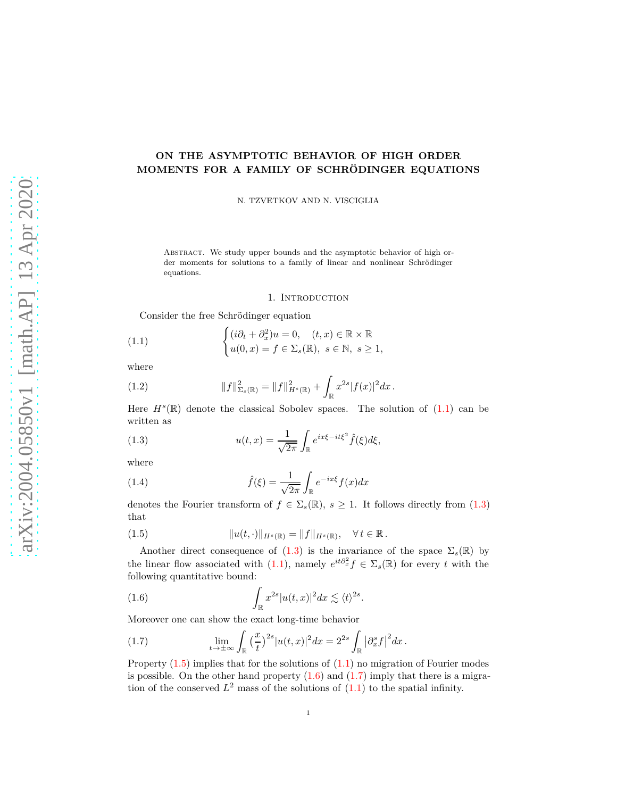# **ON THE ASYMPTOTIC BEHAVIOR OF HIGH ORDER MOMENTS FOR A FAMILY OF SCHRÖDINGER EQUATIONS**

N. TZVETKOV AND N. VISCIGLIA

Abstract. We study upper bounds and the asymptotic behavior of high order moments for solutions to a family of linear and nonlinear Schrödinger equations.

#### <span id="page-0-0"></span>1. INTRODUCTION

Consider the free Schrödinger equation

(1.1) 
$$
\begin{cases} (i\partial_t + \partial_x^2)u = 0, & (t, x) \in \mathbb{R} \times \mathbb{R} \\ u(0, x) = f \in \Sigma_s(\mathbb{R}), & s \in \mathbb{N}, s \ge 1, \end{cases}
$$

where

(1.2) 
$$
||f||_{\Sigma_s(\mathbb{R})}^2 = ||f||_{H^s(\mathbb{R})}^2 + \int_{\mathbb{R}} x^{2s} |f(x)|^2 dx.
$$

<span id="page-0-1"></span>Here  $H^s(\mathbb{R})$  denote the classical Sobolev spaces. The solution of  $(1.1)$  can be written as

(1.3) 
$$
u(t,x) = \frac{1}{\sqrt{2\pi}} \int_{\mathbb{R}} e^{ix\xi - it\xi^2} \hat{f}(\xi) d\xi,
$$

where

<span id="page-0-5"></span>(1.4) 
$$
\hat{f}(\xi) = \frac{1}{\sqrt{2\pi}} \int_{\mathbb{R}} e^{-ix\xi} f(x) dx
$$

<span id="page-0-2"></span>denotes the Fourier transform of  $f \in \Sigma_s(\mathbb{R})$ ,  $s \geq 1$ . It follows directly from [\(1.3\)](#page-0-1) that

(1.5) 
$$
||u(t, \cdot)||_{H^{s}(\mathbb{R})} = ||f||_{H^{s}(\mathbb{R})}, \quad \forall t \in \mathbb{R}.
$$

Another direct consequence of  $(1.3)$  is the invariance of the space  $\Sigma_s(\mathbb{R})$  by the linear flow associated with [\(1.1\)](#page-0-0), namely  $e^{it\partial_x^2} f \in \Sigma_s(\mathbb{R})$  for every *t* with the following quantitative bound:

<span id="page-0-3"></span>(1.6) 
$$
\int_{\mathbb{R}} x^{2s} |u(t,x)|^2 dx \lesssim \langle t \rangle^{2s}.
$$

Moreover one can show the exact long-time behavior

<span id="page-0-4"></span>(1.7) 
$$
\lim_{t \to \pm \infty} \int_{\mathbb{R}} \left(\frac{x}{t}\right)^{2s} |u(t,x)|^2 dx = 2^{2s} \int_{\mathbb{R}} \left|\partial_x^s f\right|^2 dx.
$$

Property [\(1.5\)](#page-0-2) implies that for the solutions of [\(1.1\)](#page-0-0) no migration of Fourier modes is possible. On the other hand property  $(1.6)$  and  $(1.7)$  imply that there is a migration of the conserved  $L^2$  mass of the solutions of  $(1.1)$  to the spatial infinity.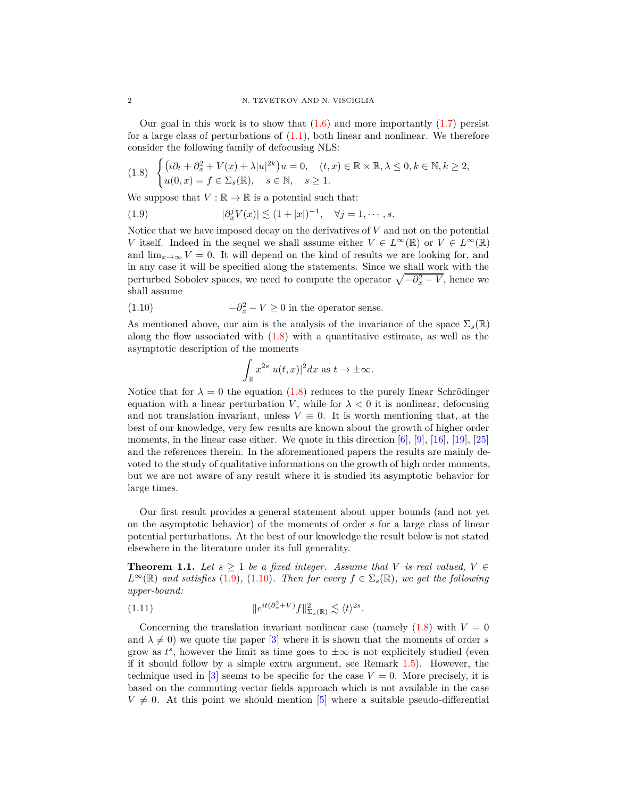Our goal in this work is to show that  $(1.6)$  and more importantly  $(1.7)$  persist for a large class of perturbations of  $(1.1)$ , both linear and nonlinear. We therefore consider the following family of defocusing NLS:

<span id="page-1-0"></span>
$$
(1.8)\quad \begin{cases} (i\partial_t + \partial_x^2 + V(x) + \lambda |u|^{2k})u = 0, & (t, x) \in \mathbb{R} \times \mathbb{R}, \lambda \le 0, k \in \mathbb{N}, k \ge 2, \\ u(0, x) = f \in \Sigma_s(\mathbb{R}), & s \in \mathbb{N}, s \ge 1. \end{cases}
$$

We suppose that  $V : \mathbb{R} \to \mathbb{R}$  is a potential such that:

(1.9) 
$$
|\partial_x^j V(x)| \lesssim (1+|x|)^{-1}, \quad \forall j=1,\cdots,s.
$$

Notice that we have imposed decay on the derivatives of *V* and not on the potential *V* itself. Indeed in the sequel we shall assume either  $V \in L^{\infty}(\mathbb{R})$  or  $V \in L^{\infty}(\mathbb{R})$ and  $\lim_{x\to\infty} V = 0$ . It will depend on the kind of results we are looking for, and in any case it will be specified along the statements. Since we shall work with the perturbed Sobolev spaces, we need to compute the operator  $\sqrt{-\partial_x^2 - V}$ , hence we shall assume

<span id="page-1-2"></span>(1.10) 
$$
-\partial_x^2 - V \ge 0
$$
 in the operator sense.

As mentioned above, our aim is the analysis of the invariance of the space  $\Sigma_s(\mathbb{R})$ along the flow associated with  $(1.8)$  with a quantitative estimate, as well as the asymptotic description of the moments

<span id="page-1-1"></span>
$$
\int_{\mathbb{R}} x^{2s} |u(t,x)|^2 dx \text{ as } t \to \pm \infty.
$$

Notice that for  $\lambda = 0$  the equation [\(1.8\)](#page-1-0) reduces to the purely linear Schrödinger equation with a linear perturbation *V*, while for  $\lambda < 0$  it is nonlinear, defocusing and not translation invariant, unless  $V \equiv 0$ . It is worth mentioning that, at the best of our knowledge, very few results are known about the growth of higher order moments, in the linear case either. We quote in this direction [\[6\]](#page-19-0), [\[9\]](#page-19-1), [\[16\]](#page-19-2), [\[19\]](#page-20-0), [\[25\]](#page-20-1) and the references therein. In the aforementioned papers the results are mainly devoted to the study of qualitative informations on the growth of high order moments, but we are not aware of any result where it is studied its asymptotic behavior for large times.

Our first result provides a general statement about upper bounds (and not yet on the asymptotic behavior) of the moments of order *s* for a large class of linear potential perturbations. At the best of our knowledge the result below is not stated elsewhere in the literature under its full generality.

<span id="page-1-3"></span>**Theorem 1.1.** Let  $s \geq 1$  be a fixed integer. Assume that V is real valued,  $V \in$  $L^{\infty}(\mathbb{R})$  *and satisfies* [\(1.9\)](#page-1-1), [\(1.10\)](#page-1-2)*. Then for every*  $f \in \Sigma_s(\mathbb{R})$ *, we get the following upper-bound:*

(1.11) 
$$
\|e^{it(\partial_x^2 + V)}f\|^2_{\Sigma_s(\mathbb{R})} \lesssim \langle t \rangle^{2s}.
$$

Concerning the translation invariant nonlinear case (namely  $(1.8)$  with  $V = 0$ ) and  $\lambda \neq 0$ ) we quote the paper [\[3\]](#page-19-3) where it is shown that the moments of order *s* grow as  $t^s$ , however the limit as time goes to  $\pm \infty$  is not explicitely studied (even if it should follow by a simple extra argument, see Remark [1.5\)](#page-4-0). However, the technique used in  $[3]$  seems to be specific for the case  $V = 0$ . More precisely, it is based on the commuting vector fields approach which is not available in the case  $V \neq 0$ . At this point we should mention [\[5\]](#page-19-4) where a suitable pseudo-differential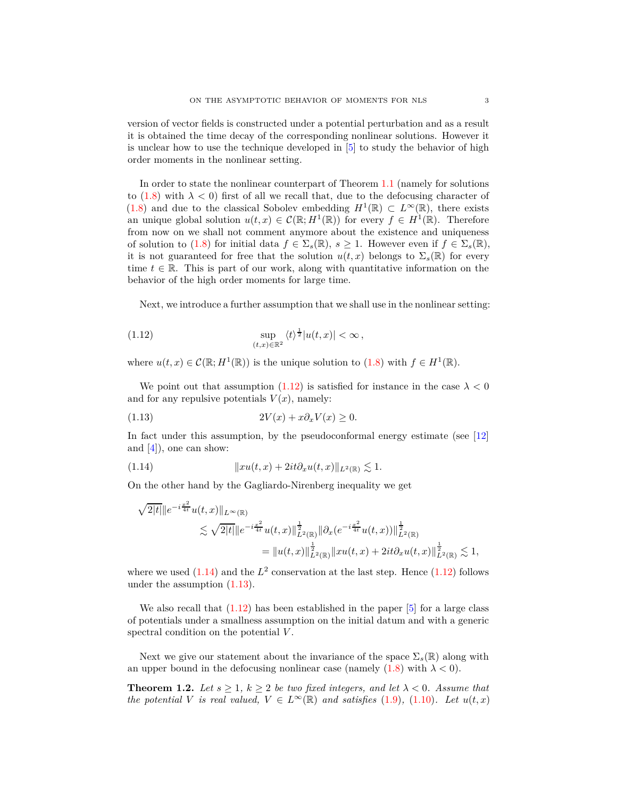version of vector fields is constructed under a potential perturbation and as a result it is obtained the time decay of the corresponding nonlinear solutions. However it is unclear how to use the technique developed in [\[5\]](#page-19-4) to study the behavior of high order moments in the nonlinear setting.

In order to state the nonlinear counterpart of Theorem [1.1](#page-1-3) (namely for solutions to [\(1.8\)](#page-1-0) with  $\lambda < 0$ ) first of all we recall that, due to the defocusing character of [\(1.8\)](#page-1-0) and due to the classical Sobolev embedding  $H^1(\mathbb{R}) \subset L^{\infty}(\mathbb{R})$ , there exists an unique global solution  $u(t, x) \in C(\mathbb{R}; H^1(\mathbb{R}))$  for every  $f \in H^1(\mathbb{R})$ . Therefore from now on we shall not comment anymore about the existence and uniqueness of solution to [\(1.8\)](#page-1-0) for initial data  $f \in \Sigma_s(\mathbb{R})$ ,  $s \geq 1$ . However even if  $f \in \Sigma_s(\mathbb{R})$ , it is not guaranteed for free that the solution  $u(t, x)$  belongs to  $\Sigma_s(\mathbb{R})$  for every time  $t \in \mathbb{R}$ . This is part of our work, along with quantitative information on the behavior of the high order moments for large time.

<span id="page-2-0"></span>Next, we introduce a further assumption that we shall use in the nonlinear setting:

(1.12) 
$$
\sup_{(t,x)\in\mathbb{R}^2} \langle t \rangle^{\frac{1}{2}} |u(t,x)| < \infty,
$$

where  $u(t, x) \in C(\mathbb{R}; H^1(\mathbb{R}))$  is the unique solution to [\(1.8\)](#page-1-0) with  $f \in H^1(\mathbb{R})$ .

<span id="page-2-2"></span>We point out that assumption  $(1.12)$  is satisfied for instance in the case  $\lambda < 0$ and for any repulsive potentials  $V(x)$ , namely:

$$
(1.13)\t\t 2V(x) + x\partial_x V(x) \ge 0.
$$

<span id="page-2-1"></span>In fact under this assumption, by the pseudoconformal energy estimate (see [\[12\]](#page-19-5) and  $[4]$ , one can show:

(1.14) 
$$
||xu(t,x) + 2it\partial_x u(t,x)||_{L^2(\mathbb{R})} \lesssim 1.
$$

On the other hand by the Gagliardo-Nirenberg inequality we get

$$
\sqrt{2|t|} \|e^{-i\frac{x^2}{4t}} u(t,x)\|_{L^{\infty}(\mathbb{R})}
$$
  
\n
$$
\lesssim \sqrt{2|t|} \|e^{-i\frac{x^2}{4t}} u(t,x)\|_{L^2(\mathbb{R})}^{\frac{1}{2}} \|\partial_x(e^{-i\frac{x^2}{4t}} u(t,x))\|_{L^2(\mathbb{R})}^{\frac{1}{2}}
$$
  
\n
$$
= \|u(t,x)\|_{L^2(\mathbb{R})}^{\frac{1}{2}} \|xu(t,x) + 2it\partial_x u(t,x)\|_{L^2(\mathbb{R})}^{\frac{1}{2}} \lesssim 1,
$$

where we used  $(1.14)$  and the  $L^2$  conservation at the last step. Hence  $(1.12)$  follows under the assumption [\(1.13\)](#page-2-2).

We also recall that  $(1.12)$  has been established in the paper  $[5]$  for a large class of potentials under a smallness assumption on the initial datum and with a generic spectral condition on the potential *V* .

Next we give our statement about the invariance of the space  $\Sigma_s(\mathbb{R})$  along with an upper bound in the defocusing nonlinear case (namely  $(1.8)$  with  $\lambda < 0$ ).

<span id="page-2-3"></span>**Theorem 1.2.** Let  $s \geq 1$ ,  $k \geq 2$  be two fixed integers, and let  $\lambda < 0$ . Assume that *the potential V is real valued,*  $V \in L^{\infty}(\mathbb{R})$  *and satisfies* [\(1.9\)](#page-1-1)*,* (1.10*). Let*  $u(t, x)$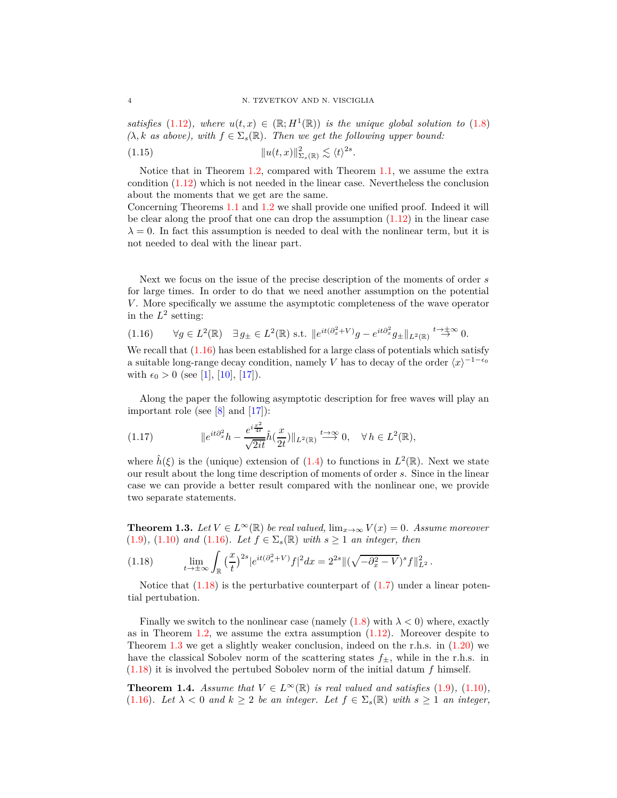*satisfies* [\(1.12\)](#page-2-0)*, where*  $u(t, x) \in (\mathbb{R}; H^1(\mathbb{R}))$  *is the unique global solution to* [\(1.8\)](#page-1-0)  $(\lambda, k \text{ as above}), \text{ with } f \in \Sigma_s(\mathbb{R})$ . Then we get the following upper bound: 2*s*

(1.15) k*u*(*t, x*)k 2 <sup>Σ</sup>*s*(R) . h*t*i *.*

Notice that in Theorem [1.2,](#page-2-3) compared with Theorem [1.1,](#page-1-3) we assume the extra condition [\(1.12\)](#page-2-0) which is not needed in the linear case. Nevertheless the conclusion about the moments that we get are the same.

Concerning Theorems [1.1](#page-1-3) and [1.2](#page-2-3) we shall provide one unified proof. Indeed it will be clear along the proof that one can drop the assumption  $(1.12)$  in the linear case  $\lambda = 0$ . In fact this assumption is needed to deal with the nonlinear term, but it is not needed to deal with the linear part.

Next we focus on the issue of the precise description of the moments of order *s* for large times. In order to do that we need another assumption on the potential *V*. More specifically we assume the asymptotic completeness of the wave operator in the  $L^2$  setting:

<span id="page-3-0"></span>
$$
(1.16) \qquad \forall g \in L^{2}(\mathbb{R}) \quad \exists g_{\pm} \in L^{2}(\mathbb{R}) \text{ s.t. } \|e^{it(\partial_{x}^{2}+V)}g - e^{it\partial_{x}^{2}}g_{\pm}\|_{L^{2}(\mathbb{R})} \stackrel{t \to \pm \infty}{\to} 0.
$$

We recall that  $(1.16)$  has been established for a large class of potentials which satisfy a suitable long-range decay condition, namely *V* has to decay of the order  $\langle x \rangle^{-1-\epsilon_0}$ with  $\epsilon_0 > 0$  (see [\[1\]](#page-19-7), [\[10\]](#page-19-8), [\[17\]](#page-20-2)).

<span id="page-3-4"></span>Along the paper the following asymptotic description for free waves will play an important role (see  $[8]$  and  $[17]$ ):

(1.17) 
$$
\|e^{it\partial_x^2}h - \frac{e^{i\frac{x^2}{4t}}}{\sqrt{2it}}\hat{h}(\frac{x}{2t})\|_{L^2(\mathbb{R})} \stackrel{t \to \infty}{\longrightarrow} 0, \quad \forall h \in L^2(\mathbb{R}),
$$

where  $\hat{h}(\xi)$  is the (unique) extension of [\(1.4\)](#page-0-5) to functions in  $L^2(\mathbb{R})$ . Next we state our result about the long time description of moments of order *s*. Since in the linear case we can provide a better result compared with the nonlinear one, we provide two separate statements.

<span id="page-3-2"></span>**Theorem 1.3.** *Let*  $V \in L^{\infty}(\mathbb{R})$  *be real valued,*  $\lim_{x \to \infty} V(x) = 0$ *. Assume moreover* [\(1.9\)](#page-1-1)*,* [\(1.10\)](#page-1-2) *and* [\(1.16\)](#page-3-0)*. Let <sup>f</sup>* <sup>∈</sup> <sup>Σ</sup>*s*(R) *with <sup>s</sup>* <sup>≥</sup> <sup>1</sup> *an integer, then*

<span id="page-3-1"></span>(1.18) 
$$
\lim_{t \to \pm \infty} \int_{\mathbb{R}} \left(\frac{x}{t}\right)^{2s} |e^{it(\partial_x^2 + V)} f|^2 dx = 2^{2s} \| (\sqrt{-\partial_x^2 - V})^s f \|_{L^2}^2.
$$

Notice that  $(1.18)$  is the perturbative counterpart of  $(1.7)$  under a linear potential pertubation.

Finally we switch to the nonlinear case (namely  $(1.8)$  with  $\lambda < 0$ ) where, exactly as in Theorem [1.2,](#page-2-3) we assume the extra assumption  $(1.12)$ . Moreover despite to Theorem [1.3](#page-3-2) we get a slightly weaker conclusion, indeed on the r.h.s. in [\(1.20\)](#page-4-1) we have the classical Sobolev norm of the scattering states  $f_{\pm}$ , while in the r.h.s. in [\(1.18\)](#page-3-1) it is involved the pertubed Sobolev norm of the initial datum *f* himself.

<span id="page-3-3"></span>**Theorem 1.4.** *Assume that*  $V \in L^{\infty}(\mathbb{R})$  *is real valued and satisfies* [\(1.9\)](#page-1-1)*,* (1.10*),* [\(1.16\)](#page-3-0)*.* Let  $\lambda < 0$  and  $k \geq 2$  be an integer. Let  $f \in \Sigma_s(\mathbb{R})$  with  $s \geq 1$  an integer,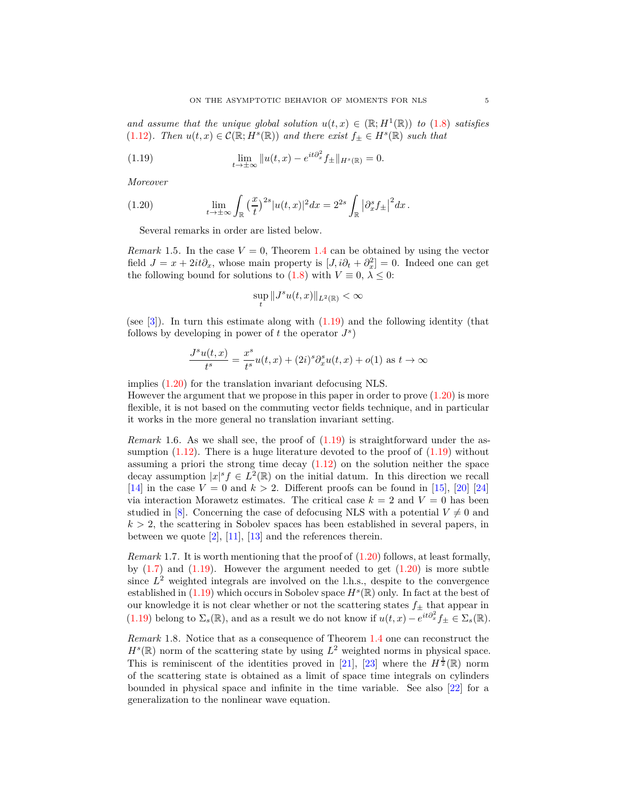*and assume that the unique global solution*  $u(t,x) \in (\mathbb{R}; H^1(\mathbb{R}))$  *to* [\(1.8\)](#page-1-0) *satisfies* [\(1.12\)](#page-2-0)*.* Then  $u(t, x) \in C(\mathbb{R}; H^s(\mathbb{R}))$  and there exist  $f_{\pm} \in H^s(\mathbb{R})$  such that

(1.19) 
$$
\lim_{t \to \pm \infty} \|u(t,x) - e^{it\partial_x^2} f_{\pm}\|_{H^s(\mathbb{R})} = 0.
$$

<span id="page-4-1"></span>*Moreover*

(1.20) 
$$
\lim_{t \to \pm \infty} \int_{\mathbb{R}} \left(\frac{x}{t}\right)^{2s} |u(t,x)|^2 dx = 2^{2s} \int_{\mathbb{R}} \left|\partial_x^s f_{\pm}\right|^2 dx.
$$

Several remarks in order are listed below.

<span id="page-4-0"></span>*Remark* 1.5. In the case  $V = 0$ , Theorem [1.4](#page-3-3) can be obtained by using the vector field  $J = x + 2it\partial_x$ , whose main property is  $[J, i\partial_t + \partial_x^2] = 0$ . Indeed one can get the following bound for solutions to [\(1.8\)](#page-1-0) with  $V \equiv 0, \lambda \leq 0$ :

<span id="page-4-2"></span>
$$
\sup_t \|J^s u(t,x)\|_{L^2(\mathbb{R})} < \infty
$$

(see [\[3\]](#page-19-3)). In turn this estimate along with [\(1.19\)](#page-4-2) and the following identity (that follows by developing in power of  $t$  the operator  $J^s$ 

$$
\frac{J^s u(t,x)}{t^s} = \frac{x^s}{t^s} u(t,x) + (2i)^s \partial_x^s u(t,x) + o(1) \text{ as } t \to \infty
$$

implies [\(1.20\)](#page-4-1) for the translation invariant defocusing NLS.

However the argument that we propose in this paper in order to prove [\(1.20\)](#page-4-1) is more flexible, it is not based on the commuting vector fields technique, and in particular it works in the more general no translation invariant setting.

*Remark* 1.6*.* As we shall see, the proof of [\(1.19\)](#page-4-2) is straightforward under the assumption  $(1.12)$ . There is a huge literature devoted to the proof of  $(1.19)$  without assuming a priori the strong time decay  $(1.12)$  on the solution neither the space decay assumption  $|x|^s f \in L^2(\mathbb{R})$  on the initial datum. In this direction we recall [\[14\]](#page-19-10) in the case  $V = 0$  and  $k > 2$ . Different proofs can be found in [\[15\]](#page-19-11), [\[20\]](#page-20-3) [\[24\]](#page-20-4) via interaction Morawetz estimates. The critical case  $k = 2$  and  $V = 0$  has been studied in [\[8\]](#page-19-9). Concerning the case of defocusing NLS with a potential  $V \neq 0$  and  $k > 2$ , the scattering in Sobolev spaces has been established in several papers, in between we quote  $[2]$ ,  $[11]$ ,  $[13]$  and the references therein.

*Remark* 1.7*.* It is worth mentioning that the proof of [\(1.20\)](#page-4-1) follows, at least formally, by  $(1.7)$  and  $(1.19)$ . However the argument needed to get  $(1.20)$  is more subtle since  $L^2$  weighted integrals are involved on the l.h.s., despite to the convergence established in  $(1.19)$  which occurs in Sobolev space  $H<sup>s</sup>(\mathbb{R})$  only. In fact at the best of our knowledge it is not clear whether or not the scattering states  $f_{\pm}$  that appear in [\(1.19\)](#page-4-2) belong to  $\Sigma_s(\mathbb{R})$ , and as a result we do not know if  $u(t, x) - e^{it\partial_x^2} f_{\pm} \in \Sigma_s(\mathbb{R})$ .

*Remark* 1.8*.* Notice that as a consequence of Theorem [1.4](#page-3-3) one can reconstruct the  $H<sup>s</sup>(\mathbb{R})$  norm of the scattering state by using  $L<sup>2</sup>$  weighted norms in physical space. This is reminiscent of the identities proved in [\[21\]](#page-20-5), [\[23\]](#page-20-6) where the  $H^{\frac{1}{2}}(\mathbb{R})$  norm of the scattering state is obtained as a limit of space time integrals on cylinders bounded in physical space and infinite in the time variable. See also [\[22\]](#page-20-7) for a generalization to the nonlinear wave equation.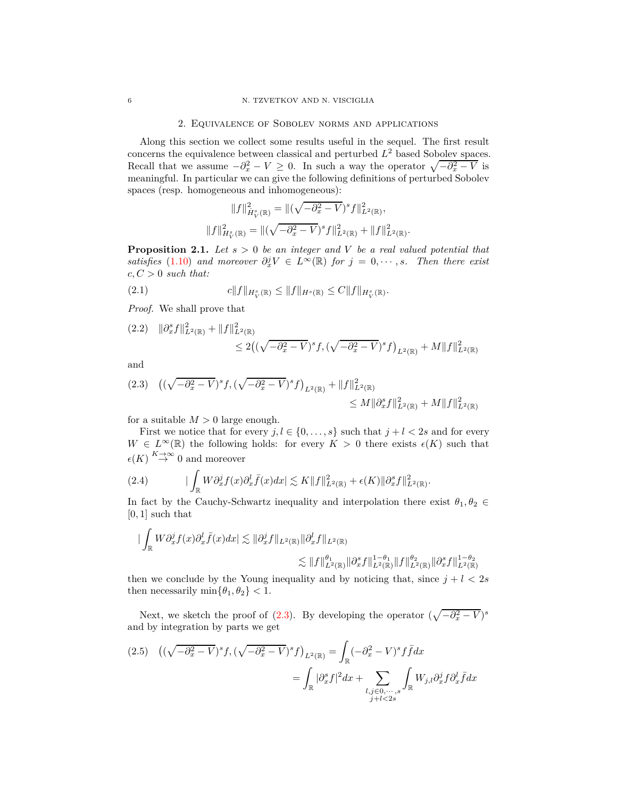#### 2. Equivalence of Sobolev norms and applications

Along this section we collect some results useful in the sequel. The first result concerns the equivalence between classical and perturbed *L* <sup>2</sup> based Sobolev spaces. Recall that we assume  $-\partial_x^2 - V \geq 0$ . In such a way the operator  $\sqrt{-\partial_x^2 - V}$  is meaningful. In particular we can give the following definitions of perturbed Sobolev spaces (resp. homogeneous and inhomogeneous):

<span id="page-5-5"></span>
$$
||f||_{\dot{H}_V^s(\mathbb{R})}^2 = ||(\sqrt{-\partial_x^2 - V})^s f||_{L^2(\mathbb{R})}^2,
$$
  

$$
||f||_{H_V^s(\mathbb{R})}^2 = ||(\sqrt{-\partial_x^2 - V})^s f||_{L^2(\mathbb{R})}^2 + ||f||_{L^2(\mathbb{R})}^2.
$$

<span id="page-5-4"></span>**Proposition 2.1.** *Let s >* 0 *be an integer and V be a real valued potential that satisfies* [\(1.10\)](#page-1-2) *and moreover*  $\partial_x^j V \in L^\infty(\mathbb{R})$  *for*  $j = 0, \dots, s$ *. Then there exist*  $c, C > 0$  *such that:* 

(2.1) 
$$
c||f||_{H_V^s(\mathbb{R})} \le ||f||_{H^s(\mathbb{R})} \le C||f||_{H_V^s(\mathbb{R})}.
$$

*Proof.* We shall prove that

<span id="page-5-2"></span>
$$
(2.2) \quad \|\partial_x^s f\|_{L^2(\mathbb{R})}^2 + \|f\|_{L^2(\mathbb{R})}^2
$$
  

$$
\leq 2\left( (\sqrt{-\partial_x^2 - V})^s f, (\sqrt{-\partial_x^2 - V})^s f \right)_{L^2(\mathbb{R})} + M \|f\|_{L^2(\mathbb{R})}^2
$$

and

<span id="page-5-0"></span>
$$
(2.3) \quad \left( (\sqrt{-\partial_x^2 - V})^s f, (\sqrt{-\partial_x^2 - V})^s f \right)_{L^2(\mathbb{R})} + \|f\|_{L^2(\mathbb{R})}^2 \n\leq M \|\partial_x^s f\|_{L^2(\mathbb{R})}^2 + M \|f\|_{L^2(\mathbb{R})}^2
$$

for a suitable  $M > 0$  large enough.

First we notice that for every  $j, l \in \{0, \ldots, s\}$  such that  $j + l < 2s$  and for every *W* ∈  $L^{\infty}(\mathbb{R})$  the following holds: for every *K* > 0 there exists  $\epsilon(K)$  such that  $\epsilon(K) \stackrel{K \to \infty}{\to} 0$  and moreover

<span id="page-5-1"></span>(2.4) 
$$
\left| \int_{\mathbb{R}} W \partial_x^j f(x) \partial_x^l \bar{f}(x) dx \right| \lesssim K \|f\|_{L^2(\mathbb{R})}^2 + \epsilon(K) \|\partial_x^s f\|_{L^2(\mathbb{R})}^2
$$

In fact by the Cauchy-Schwartz inequality and interpolation there exist  $\theta_1, \theta_2 \in$ [0*,* 1] such that

*.*

$$
\begin{aligned}\n|\int_{\mathbb{R}} W \partial_x^j f(x) \partial_x^l \bar{f}(x) dx| &\lesssim \|\partial_x^j f\|_{L^2(\mathbb{R})} \|\partial_x^l f\|_{L^2(\mathbb{R})} \\
&\lesssim \|f\|_{L^2(\mathbb{R})}^{\theta_1} \|\partial_x^s f\|_{L^2(\mathbb{R})}^{1-\theta_1} \|f\|_{L^2(\mathbb{R})}^{\theta_2} \|\partial_x^s f\|_{L^2(\mathbb{R})}^{1-\theta_2}\n\end{aligned}
$$

then we conclude by the Young inequality and by noticing that, since  $j + l < 2s$ then necessarily  $\min{\lbrace \theta_1, \theta_2 \rbrace} < 1$ .

Next, we sketch the proof of  $(2.3)$ . By developing the operator  $(\sqrt{-\partial_x^2 - V})^s$ and by integration by parts we get

<span id="page-5-3"></span>
$$
(2.5) \quad ((\sqrt{-\partial_x^2 - V})^s f, (\sqrt{-\partial_x^2 - V})^s f)_{L^2(\mathbb{R})} = \int_{\mathbb{R}} (-\partial_x^2 - V)^s f \bar{f} dx
$$

$$
= \int_{\mathbb{R}} |\partial_x^s f|^2 dx + \sum_{\substack{l,j \in \mathbb{Q}, \dots, s \\ j+l < 2s}} \int_{\mathbb{R}} W_{j,l} \partial_x^j f \partial_x^l \bar{f} dx
$$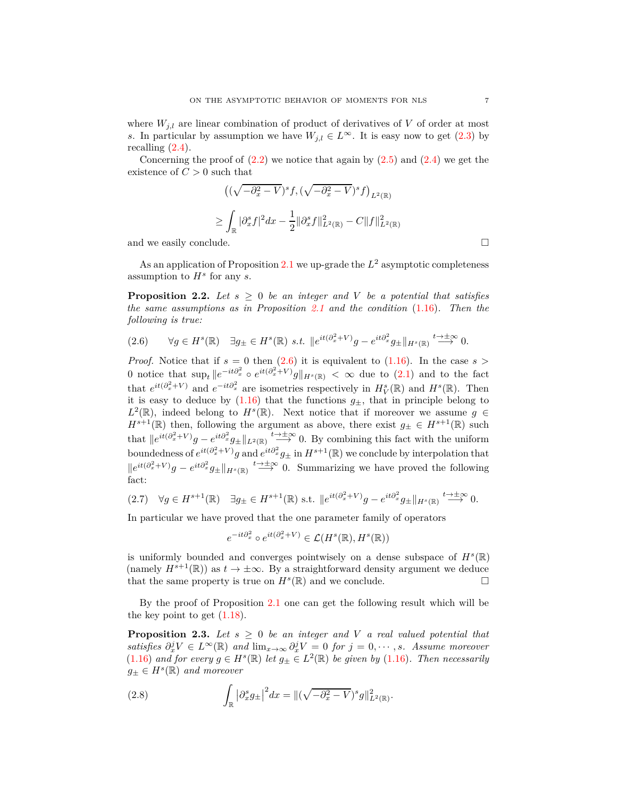where  $W_{i,l}$  are linear combination of product of derivatives of *V* of order at most *s*. In particular by assumption we have  $W_{j,l} \in L^{\infty}$ . It is easy now to get [\(2.3\)](#page-5-0) by recalling [\(2.4\)](#page-5-1).

Concerning the proof of  $(2.2)$  we notice that again by  $(2.5)$  and  $(2.4)$  we get the existence of  $C > 0$  such that

$$
\left( (\sqrt{-\partial_x^2 - V})^s f, (\sqrt{-\partial_x^2 - V})^s f \right)_{L^2(\mathbb{R})}
$$
  

$$
\geq \int_{\mathbb{R}} |\partial_x^s f|^2 dx - \frac{1}{2} ||\partial_x^s f||_{L^2(\mathbb{R})}^2 - C ||f||_{L^2(\mathbb{R})}^2
$$
  
and we easily conclude.

As an application of Proposition [2.1](#page-5-4) we up-grade the *L* <sup>2</sup> asymptotic completeness assumption to *H<sup>s</sup>* for any *s*.

<span id="page-6-1"></span>**Proposition 2.2.** Let  $s \geq 0$  be an integer and V be a potential that satisfies *the same assumptions as in Proposition [2.1](#page-5-4) and the condition* [\(1.16\)](#page-3-0)*. Then the following is true:*

<span id="page-6-0"></span>
$$
(2.6) \qquad \forall g \in H^s(\mathbb{R}) \quad \exists g_{\pm} \in H^s(\mathbb{R}) \ s.t. \ \lVert e^{it(\partial_x^2 + V)}g - e^{it\partial_x^2}g_{\pm} \rVert_{H^s(\mathbb{R})} \stackrel{t \to \pm \infty}{\longrightarrow} 0.
$$

*Proof.* Notice that if  $s = 0$  then  $(2.6)$  it is equivalent to  $(1.16)$ . In the case  $s >$ 0 notice that  $\sup_t \|e^{-it\partial_x^2} \circ e^{it(\partial_x^2 + V)}g\|_{H^s(\mathbb{R})} < \infty$  due to [\(2.1\)](#page-5-5) and to the fact that  $e^{it(\partial_x^2 + V)}$  and  $e^{-it\partial_x^2}$  are isometries respectively in  $H_V^s(\mathbb{R})$  and  $H^s(\mathbb{R})$ . Then it is easy to deduce by  $(1.16)$  that the functions  $g_{\pm}$ , that in principle belong to  $L^2(\mathbb{R})$ , indeed belong to  $H^s(\mathbb{R})$ . Next notice that if moreover we assume  $g \in$  $H^{s+1}(\mathbb{R})$  then, following the argument as above, there exist  $g_{\pm} \in H^{s+1}(\mathbb{R})$  such that  $\|e^{it(\partial_x^2 + V)}g - e^{it\partial_x^2}g_{\pm}\|_{L^2(\mathbb{R})} \stackrel{t \to \pm \infty}{\longrightarrow} 0$ . By combining this fact with the uniform boundedness of  $e^{it(\partial_x^2 + V)}g$  and  $e^{it\partial_x^2}g_{\pm}$  in  $H^{s+1}(\mathbb{R})$  we conclude by interpolation that  $\|e^{it(\partial_x^2 + V)}g - e^{it\partial_x^2}g_{\pm}\|_{H^s(\mathbb{R})} \stackrel{t \to \pm \infty}{\longrightarrow} 0$ . Summarizing we have proved the following fact:

$$
(2.7) \quad \forall g \in H^{s+1}(\mathbb{R}) \quad \exists g_{\pm} \in H^{s+1}(\mathbb{R}) \text{ s.t. } \|e^{it(\partial_x^2 + V)}g - e^{it\partial_x^2}g_{\pm}\|_{H^s(\mathbb{R})} \stackrel{t \to \pm \infty}{\longrightarrow} 0.
$$

In particular we have proved that the one parameter family of operators

$$
e^{-it\partial_x^2} \circ e^{it(\partial_x^2 + V)} \in \mathcal{L}(H^s(\mathbb{R}), H^s(\mathbb{R}))
$$

is uniformly bounded and converges pointwisely on a dense subspace of  $H^s(\mathbb{R})$ (namely  $H^{s+1}(\mathbb{R})$ ) as  $t \to \pm \infty$ . By a straightforward density argument we deduce that the same property is true on  $H^s(\mathbb{R})$  and we conclude. that the same property is true on  $H^s(\mathbb{R})$  and we conclude.

By the proof of Proposition [2.1](#page-5-4) one can get the following result which will be the key point to get  $(1.18)$ .

**Proposition 2.3.** Let  $s \geq 0$  be an integer and V a real valued potential that *satisfies*  $\partial_x^j V \in L^\infty(\mathbb{R})$  and  $\lim_{x\to\infty} \partial_x^j V = 0$  for  $j = 0, \dots, s$ . Assume moreover [\(1.16\)](#page-3-0) and for every  $g \in H^s(\mathbb{R})$  let  $g_{\pm} \in L^2(\mathbb{R})$  be given by (1.16). Then necessarily  $g_{\pm} \in H^s(\mathbb{R})$  *and moreover* 

<span id="page-6-2"></span>(2.8) 
$$
\int_{\mathbb{R}} |\partial_x^s g_{\pm}|^2 dx = \|(\sqrt{-\partial_x^2 - V})^s g\|_{L^2(\mathbb{R})}^2.
$$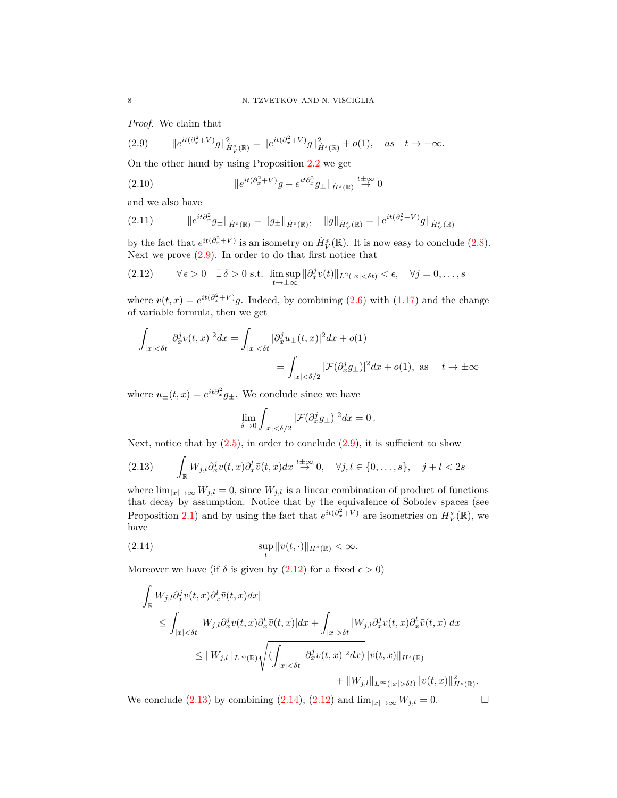<span id="page-7-0"></span>*Proof.* We claim that

(2.9) 
$$
\|e^{it(\partial_x^2 + V)}g\|_{\dot{H}_V^s(\mathbb{R})}^2 = \|e^{it(\partial_x^2 + V)}g\|_{\dot{H}^s(\mathbb{R})}^2 + o(1), \text{ as } t \to \pm \infty.
$$

On the other hand by using Proposition [2.2](#page-6-1) we get

(2.10) 
$$
\|e^{it(\partial_x^2 + V)}g - e^{it\partial_x^2}g_{\pm}\|_{\dot{H}^s(\mathbb{R})} \stackrel{t \pm \infty}{\rightarrow} 0
$$

and we also have

$$
(2.11) \t\t\t ||e^{it\partial_x^2}g_{\pm}||_{\dot{H}^s(\mathbb{R})} = \|g_{\pm}||_{\dot{H}^s(\mathbb{R})}, \t\t ||g||_{\dot{H}^s_V(\mathbb{R})} = \|e^{it(\partial_x^2 + V)}g\|_{\dot{H}^s_V(\mathbb{R})}
$$

by the fact that  $e^{it(\partial_x^2 + V)}$  is an isometry on  $\dot{H}_V^s(\mathbb{R})$ . It is now easy to conclude [\(2.8\)](#page-6-2). Next we prove  $(2.9)$ . In order to do that first notice that

(2.12) 
$$
\forall \epsilon > 0 \quad \exists \delta > 0 \text{ s.t. } \limsup_{t \to \pm \infty} ||\partial_x^j v(t)||_{L^2(|x| < \delta t)} < \epsilon, \quad \forall j = 0, ..., s
$$

where  $v(t, x) = e^{it(\partial_x^2 + V)}g$ . Indeed, by combining [\(2.6\)](#page-6-0) with [\(1.17\)](#page-3-4) and the change of variable formula, then we get

$$
\int_{|x| < \delta t} |\partial_x^j v(t, x)|^2 dx = \int_{|x| < \delta t} |\partial_x^j u_{\pm}(t, x)|^2 dx + o(1)
$$

$$
= \int_{|x| < \delta/2} |\mathcal{F}(\partial_x^j g_{\pm})|^2 dx + o(1), \text{ as } t \to \pm \infty
$$

where  $u_{\pm}(t, x) = e^{it\partial_x^2} g_{\pm}$ . We conclude since we have

<span id="page-7-2"></span><span id="page-7-1"></span>
$$
\lim_{\delta \to 0} \int_{|x| < \delta/2} |\mathcal{F}(\partial_x^j g_\pm)|^2 dx = 0.
$$

Next, notice that by  $(2.5)$ , in order to conclude  $(2.9)$ , it is sufficient to show

$$
(2.13)\qquad \int_{\mathbb{R}} W_{j,l} \partial_x^j v(t,x) \partial_x^l \bar{v}(t,x) dx \stackrel{t \to \infty}{\to} 0, \quad \forall j, l \in \{0, \dots, s\}, \quad j+l < 2s
$$

where  $\lim_{|x|\to\infty} W_{j,l} = 0$ , since  $W_{j,l}$  is a linear combination of product of functions that decay by assumption. Notice that by the equivalence of Sobolev spaces (see Proposition [2.1\)](#page-5-4) and by using the fact that  $e^{it(\partial_x^2 + V)}$  are isometries on  $H_V^s(\mathbb{R})$ , we have

<span id="page-7-3"></span>(2.14) 
$$
\sup_{t} ||v(t, \cdot)||_{H^{s}(\mathbb{R})} < \infty.
$$

Moreover we have (if  $\delta$  is given by [\(2.12\)](#page-7-1) for a fixed  $\epsilon > 0$ )

$$
\begin{split}\n&\|\int_{\mathbb{R}} W_{j,l} \partial_x^j v(t,x) \partial_x^l \bar{v}(t,x) dx| \\
&\leq \int_{|x| < \delta t} |W_{j,l} \partial_x^j v(t,x) \partial_x^l \bar{v}(t,x)| dx + \int_{|x| > \delta t} |W_{j,l} \partial_x^j v(t,x) \partial_x^l \bar{v}(t,x)| dx \\
&\leq \|W_{j,l}\|_{L^\infty(\mathbb{R})} \sqrt{\left(\int_{|x| < \delta t} |\partial_x^j v(t,x)|^2 dx\right)} \|v(t,x)\|_{H^s(\mathbb{R})} \\
&\quad + \|W_{j,l}\|_{L^\infty(|x| > \delta t)} \|v(t,x)\|_{H^s(\mathbb{R})}^2.\n\end{split}
$$

We conclude [\(2.13\)](#page-7-2) by combining [\(2.14\)](#page-7-3), [\(2.12\)](#page-7-1) and  $\lim_{|x|\to\infty} W_{j,l} = 0$ .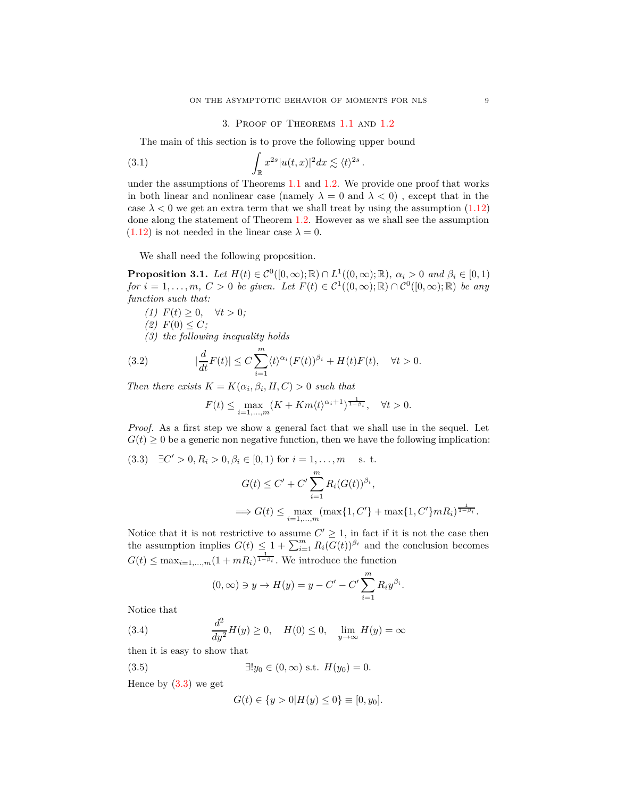#### 3. Proof of Theorems [1.1](#page-1-3) and [1.2](#page-2-3)

<span id="page-8-3"></span>*.*

The main of this section is to prove the following upper bound

(3.1) 
$$
\int_{\mathbb{R}} x^{2s} |u(t,x)|^2 dx \lesssim \langle t \rangle^{2s}
$$

under the assumptions of Theorems [1.1](#page-1-3) and [1.2.](#page-2-3) We provide one proof that works in both linear and nonlinear case (namely  $\lambda = 0$  and  $\lambda < 0$ ), except that in the case  $\lambda$  < 0 we get an extra term that we shall treat by using the assumption  $(1.12)$ done along the statement of Theorem [1.2.](#page-2-3) However as we shall see the assumption  $(1.12)$  is not needed in the linear case  $\lambda = 0$ .

We shall need the following proposition.

<span id="page-8-4"></span>**Proposition 3.1.** *Let*  $H(t) \in C^0([0,\infty);\mathbb{R}) \cap L^1((0,\infty);\mathbb{R})$ *,*  $\alpha_i > 0$  and  $\beta_i \in [0,1)$  $for i = 1, \ldots, m, C > 0$  *be given.* Let  $F(t) \in C^1((0, \infty); \mathbb{R}) \cap C^0([0, \infty); \mathbb{R})$  *be any function such that:*

(1) 
$$
F(t) \geq 0, \quad \forall t > 0;
$$

 $(2)$   $F(0) \leq C$ ;

*(3) the following inequality holds*

(3.2) 
$$
|\frac{d}{dt}F(t)| \leq C \sum_{i=1}^{m} \langle t \rangle^{\alpha_i} (F(t))^{\beta_i} + H(t)F(t), \quad \forall t > 0.
$$

*Then there exists*  $K = K(\alpha_i, \beta_i, H, C) > 0$  *such that* 

<span id="page-8-2"></span>
$$
F(t) \leq \max_{i=1,\dots,m} (K + Km\langle t \rangle^{\alpha_i+1})^{\frac{1}{1-\beta_i}}, \quad \forall t > 0.
$$

*Proof.* As a first step we show a general fact that we shall use in the sequel. Let  $G(t) \geq 0$  be a generic non negative function, then we have the following implication:

<span id="page-8-0"></span>(3.3) 
$$
\exists C' > 0, R_i > 0, \beta_i \in [0, 1)
$$
 for  $i = 1, ..., m$  s. t.  
\n
$$
G(t) \le C' + C' \sum_{i=1}^{m} R_i (G(t))^{\beta_i},
$$
\n
$$
\implies G(t) \le \max_{i=1, ..., m} (\max\{1, C'\} + \max\{1, C'\} m R_i)^{\frac{1}{1-\beta_i}}.
$$

Notice that it is not restrictive to assume  $C' \geq 1$ , in fact if it is not the case then the assumption implies  $G(t) \leq 1 + \sum_{i=1}^{m} R_i (G(t))^{\beta_i}$  and the conclusion becomes  $G(t) \leq \max_{i=1,\dots,m} (1 + mR_i)^{\frac{1}{1-\beta_i}}$ . We introduce the function

<span id="page-8-1"></span>
$$
(0, \infty) \ni y \to H(y) = y - C' - C' \sum_{i=1}^{m} R_i y^{\beta_i}.
$$

Notice that

(3.4) 
$$
\frac{d^2}{dy^2}H(y) \ge 0, \quad H(0) \le 0, \quad \lim_{y \to \infty} H(y) = \infty
$$

then it is easy to show that

(3.5) 
$$
\exists! y_0 \in (0, \infty) \text{ s.t. } H(y_0) = 0.
$$

Hence by  $(3.3)$  we get

$$
G(t) \in \{y > 0 | H(y) \le 0\} \equiv [0, y_0].
$$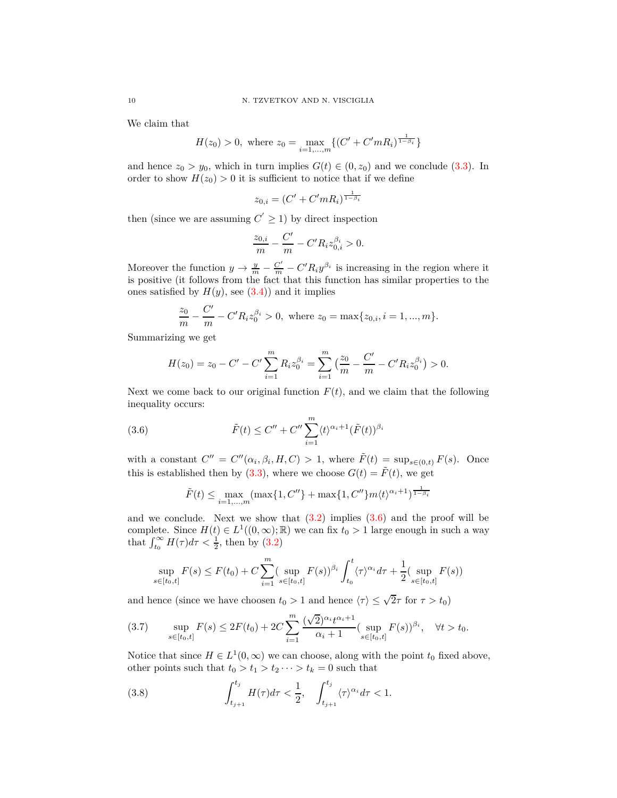We claim that

$$
H(z_0) > 0, \text{ where } z_0 = \max_{i=1,\dots,m} \{ (C' + C'mR_i)^{\frac{1}{1-\beta_i}} \}
$$

and hence  $z_0 > y_0$ , which in turn implies  $G(t) \in (0, z_0)$  and we conclude [\(3.3\)](#page-8-0). In order to show  $H(z_0) > 0$  it is sufficient to notice that if we define

$$
z_{0,i} = (C' + C'mR_i)^{\frac{1}{1-\beta_i}}
$$

then (since we are assuming  $C' \geq 1$ ) by direct inspection

$$
\frac{z_{0,i}}{m} - \frac{C'}{m} - C' R_i z_{0,i}^{\beta_i} > 0.
$$

Moreover the function  $y \to \frac{y}{m} - \frac{C'}{m} - C' R_i y^{\beta_i}$  is increasing in the region where it is positive (it follows from the fact that this function has similar properties to the ones satisfied by  $H(y)$ , see  $(3.4)$  and it implies

$$
\frac{z_0}{m} - \frac{C'}{m} - C' R_i z_0^{\beta_i} > 0, \text{ where } z_0 = \max\{z_{0,i}, i = 1, ..., m\}.
$$

Summarizing we get

<span id="page-9-0"></span>
$$
H(z_0) = z_0 - C' - C' \sum_{i=1}^{m} R_i z_0^{\beta_i} = \sum_{i=1}^{m} \left( \frac{z_0}{m} - \frac{C'}{m} - C' R_i z_0^{\beta_i} \right) > 0.
$$

Next we come back to our original function  $F(t)$ , and we claim that the following inequality occurs:

(3.6) 
$$
\tilde{F}(t) \leq C'' + C'' \sum_{i=1}^{m} \langle t \rangle^{\alpha_i+1} (\tilde{F}(t))^{\beta_i}
$$

with a constant  $C'' = C''(\alpha_i, \beta_i, H, C) > 1$ , where  $\tilde{F}(t) = \sup_{s \in (0,t)} F(s)$ . Once this is established then by [\(3.3\)](#page-8-0), where we choose  $G(t) = \tilde{F}(t)$ , we get

<span id="page-9-1"></span>
$$
\tilde{F}(t) \le \max_{i=1,...,m} (\max\{1, C''\} + \max\{1, C''\} m \langle t \rangle^{\alpha_i+1})^{\frac{1}{1-\beta_i}}
$$

and we conclude. Next we show that  $(3.2)$  implies  $(3.6)$  and the proof will be complete. Since  $H(t) \in L^1((0,\infty);\mathbb{R})$  we can fix  $t_0 > 1$  large enough in such a way that  $\int_{t_0}^{\infty} H(\tau) d\tau < \frac{1}{2}$ , then by [\(3.2\)](#page-8-2)

<span id="page-9-2"></span>
$$
\sup_{s \in [t_0, t]} F(s) \le F(t_0) + C \sum_{i=1}^m (\sup_{s \in [t_0, t]} F(s))^{\beta_i} \int_{t_0}^t \langle \tau \rangle^{\alpha_i} d\tau + \frac{1}{2} (\sup_{s \in [t_0, t]} F(s))
$$

and hence (since we have choosen  $t_0 > 1$  and hence  $\langle \tau \rangle \leq \sqrt{2}\tau$  for  $\tau > t_0$ )

$$
(3.7) \qquad \sup_{s\in[t_0,t]} F(s) \le 2F(t_0) + 2C \sum_{i=1}^m \frac{(\sqrt{2})^{\alpha_i} t^{\alpha_i+1}}{\alpha_i+1} (\sup_{s\in[t_0,t]} F(s))^{\beta_i}, \quad \forall t > t_0.
$$

Notice that since  $H \in L^1(0, \infty)$  we can choose, along with the point  $t_0$  fixed above, other points such that  $t_0 > t_1 > t_2 \cdots > t_k = 0$  such that

(3.8) 
$$
\int_{t_{j+1}}^{t_j} H(\tau) d\tau < \frac{1}{2}, \quad \int_{t_{j+1}}^{t_j} \langle \tau \rangle^{\alpha_i} d\tau < 1.
$$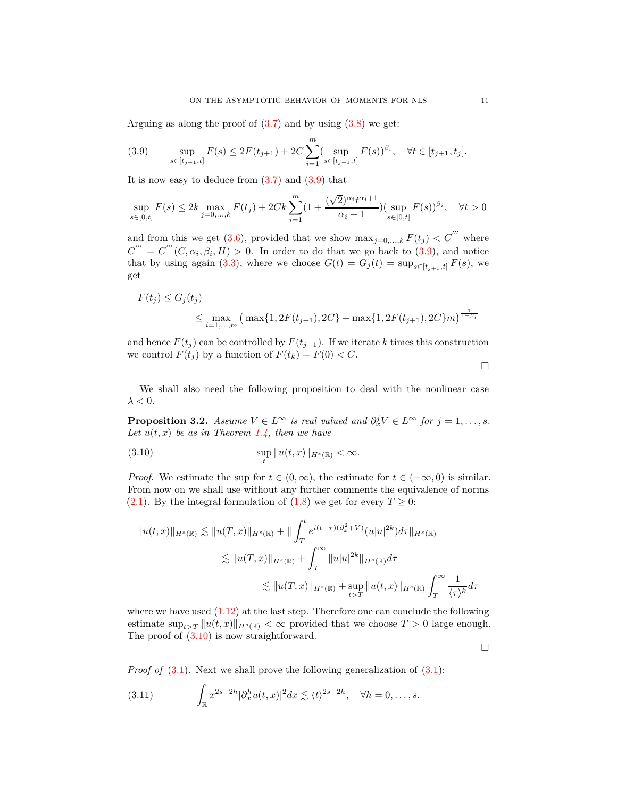Arguing as along the proof of  $(3.7)$  and by using  $(3.8)$  we get:

(3.9) 
$$
\sup_{s \in [t_{j+1}, t]} F(s) \le 2F(t_{j+1}) + 2C \sum_{i=1}^{m} (\sup_{s \in [t_{j+1}, t]} F(s))^{\beta_i}, \quad \forall t \in [t_{j+1}, t_j].
$$

It is now easy to deduce from  $(3.7)$  and  $(3.9)$  that

$$
\sup_{s \in [0,t]} F(s) \le 2k \max_{j=0,\dots,k} F(t_j) + 2Ck \sum_{i=1}^m (1 + \frac{(\sqrt{2})^{\alpha_i} t^{\alpha_i+1}}{\alpha_i+1}) (\sup_{s \in [0,t]} F(s))^{\beta_i}, \quad \forall t > 0
$$

and from this we get [\(3.6\)](#page-9-0), provided that we show  $\max_{j=0,\dots,k} F(t_j) < C''$  where  $C''' = C'''(C, \alpha_i, \beta_i, H) > 0$ . In order to do that we go back to [\(3.9\)](#page-10-0), and notice that by using again [\(3.3\)](#page-8-0), where we choose  $G(t) = G_j(t) = \sup_{s \in [t_{j+1}, t]} f(s)$ , we get

$$
F(t_j) \le G_j(t_j)
$$
  
 
$$
\le \max_{i=1,\dots,m} \left( \max\{1, 2F(t_{j+1}), 2C\} + \max\{1, 2F(t_{j+1}), 2C\}m \right)^{\frac{1}{1-\beta_i}}
$$

and hence  $F(t_j)$  can be controlled by  $F(t_{j+1})$ . If we iterate *k* times this construction we control  $F(t_j)$  by a function of  $F(t_k) = F(0) < C$ .

<span id="page-10-1"></span><span id="page-10-0"></span> $\Box$ 

We shall also need the following proposition to deal with the nonlinear case  $\lambda < 0$ .

**Proposition 3.2.** *Assume*  $V \in L^{\infty}$  *is real valued and*  $\partial_x^j V \in L^{\infty}$  *for*  $j = 1, \ldots, s$ *.* Let  $u(t, x)$  be as in Theorem [1.4,](#page-3-3) then we have

(3.10) 
$$
\sup_{t} ||u(t,x)||_{H^{s}(\mathbb{R})} < \infty.
$$

*Proof.* We estimate the sup for  $t \in (0, \infty)$ , the estimate for  $t \in (-\infty, 0)$  is similar. From now on we shall use without any further comments the equivalence of norms [\(2.1\)](#page-5-5). By the integral formulation of [\(1.8\)](#page-1-0) we get for every  $T \geq 0$ :

$$
||u(t,x)||_{H^{s}(\mathbb{R})} \lesssim ||u(T,x)||_{H^{s}(\mathbb{R})} + ||\int_{T}^{t} e^{i(t-\tau)(\partial_{x}^{2}+V)} (u|u|^{2k}) d\tau||_{H^{s}(\mathbb{R})}
$$
  

$$
\lesssim ||u(T,x)||_{H^{s}(\mathbb{R})} + \int_{T}^{\infty} ||u|u|^{2k} ||_{H^{s}(\mathbb{R})} d\tau
$$
  

$$
\lesssim ||u(T,x)||_{H^{s}(\mathbb{R})} + \sup_{t>T} ||u(t,x)||_{H^{s}(\mathbb{R})} \int_{T}^{\infty} \frac{1}{\langle \tau \rangle^{k}} d\tau
$$

where we have used  $(1.12)$  at the last step. Therefore one can conclude the following estimate  $\sup_{t>T} ||u(t,x)||_{H^s(\mathbb{R})} < \infty$  provided that we choose  $T > 0$  large enough. The proof of [\(3.10\)](#page-10-1) is now straightforward.

<span id="page-10-2"></span> $\Box$ 

*Proof of*  $(3.1)$ *.* Next we shall prove the following generalization of  $(3.1)$ *:* 

(3.11) 
$$
\int_{\mathbb{R}} x^{2s-2h} |\partial_x^h u(t,x)|^2 dx \lesssim \langle t \rangle^{2s-2h}, \quad \forall h = 0,\ldots,s.
$$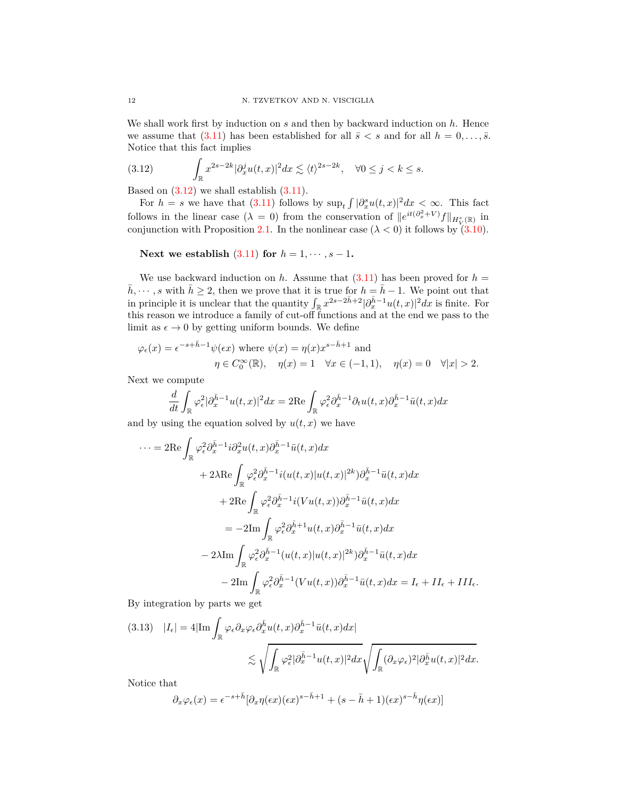We shall work first by induction on *s* and then by backward induction on *h*. Hence we assume that  $(3.11)$  has been established for all  $\bar{s} < s$  and for all  $h = 0, \ldots, \bar{s}$ . Notice that this fact implies

<span id="page-11-0"></span>(3.12) 
$$
\int_{\mathbb{R}} x^{2s-2k} |\partial_x^j u(t,x)|^2 dx \lesssim \langle t \rangle^{2s-2k}, \quad \forall 0 \le j < k \le s.
$$

Based on  $(3.12)$  we shall establish  $(3.11)$ .

For  $h = s$  we have that [\(3.11\)](#page-10-2) follows by  $\sup_t \int |\partial_x^s u(t,x)|^2 dx < \infty$ . This fact follows in the linear case  $(\lambda = 0)$  from the conservation of  $||e^{it(\partial_x^2 + V)}f||_{H_V^s(\mathbb{R})}$  in conjunction with Proposition [2.1.](#page-5-4) In the nonlinear case  $(\lambda < 0)$  it follows by [\(3.10\)](#page-10-1).

**Next we establish** [\(3.11\)](#page-10-2) **for**  $h = 1, \dots, s - 1$ .

We use backward induction on *h*. Assume that  $(3.11)$  has been proved for  $h =$  $\bar{h}, \dots, s$  with  $\bar{h} \geq 2$ , then we prove that it is true for  $h = \bar{h} - 1$ . We point out that in principle it is unclear that the quantity  $\int_{\mathbb{R}} x^{2s-2\bar{h}+2} |\partial_x^{\bar{h}-1} u(t,x)|^2 dx$  is finite. For this reason we introduce a family of cut-off functions and at the end we pass to the limit as  $\epsilon \to 0$  by getting uniform bounds. We define

$$
\varphi_{\epsilon}(x) = \epsilon^{-s + \bar{h}-1} \psi(\epsilon x) \text{ where } \psi(x) = \eta(x) x^{s - \bar{h}+1} \text{ and}
$$

$$
\eta \in C_0^{\infty}(\mathbb{R}), \quad \eta(x) = 1 \quad \forall x \in (-1,1), \quad \eta(x) = 0 \quad \forall |x| > 2.
$$

Next we compute

$$
\frac{d}{dt} \int_{\mathbb{R}} \varphi_{\epsilon}^{2} |\partial_{x}^{\bar{h}-1} u(t,x)|^{2} dx = 2 \text{Re} \int_{\mathbb{R}} \varphi_{\epsilon}^{2} \partial_{x}^{\bar{h}-1} \partial_{t} u(t,x) \partial_{x}^{\bar{h}-1} \bar{u}(t,x) dx
$$

and by using the equation solved by  $u(t, x)$  we have

$$
\cdots = 2\text{Re} \int_{\mathbb{R}} \varphi_{\epsilon}^{2} \partial_{x}^{\bar{h}-1} i \partial_{x}^{2} u(t,x) \partial_{x}^{\bar{h}-1} \bar{u}(t,x) dx
$$
  
+ 2\lambda \text{Re} \int\_{\mathbb{R}} \varphi\_{\epsilon}^{2} \partial\_{x}^{\bar{h}-1} i(u(t,x)|u(t,x)|^{2k}) \partial\_{x}^{\bar{h}-1} \bar{u}(t,x) dx  
+ 2\text{Re} \int\_{\mathbb{R}} \varphi\_{\epsilon}^{2} \partial\_{x}^{\bar{h}-1} i(Vu(t,x)) \partial\_{x}^{\bar{h}-1} \bar{u}(t,x) dx  
= -2\text{Im} \int\_{\mathbb{R}} \varphi\_{\epsilon}^{2} \partial\_{x}^{\bar{h}+1} u(t,x) \partial\_{x}^{\bar{h}-1} \bar{u}(t,x) dx  
- 2\lambda \text{Im} \int\_{\mathbb{R}} \varphi\_{\epsilon}^{2} \partial\_{x}^{\bar{h}-1} (u(t,x)|u(t,x)|^{2k}) \partial\_{x}^{\bar{h}-1} \bar{u}(t,x) dx  
- 2\text{Im} \int\_{\mathbb{R}} \varphi\_{\epsilon}^{2} \partial\_{x}^{\bar{h}-1} (Vu(t,x)) \partial\_{x}^{\bar{h}-1} \bar{u}(t,x) dx = I\_{\epsilon} + II\_{\epsilon} + III\_{\epsilon}.

By integration by parts we get

<span id="page-11-1"></span>
$$
(3.13) \quad |I_{\epsilon}| = 4|\mathrm{Im}\int_{\mathbb{R}}\varphi_{\epsilon}\partial_{x}\varphi_{\epsilon}\partial_{x}^{\bar{h}}u(t,x)\partial_{x}^{\bar{h}-1}\bar{u}(t,x)dx|
$$

$$
\lesssim \sqrt{\int_{\mathbb{R}}\varphi_{\epsilon}^{2}|\partial_{x}^{\bar{h}-1}u(t,x)|^{2}dx}\sqrt{\int_{\mathbb{R}}(\partial_{x}\varphi_{\epsilon})^{2}|\partial_{x}^{\bar{h}}u(t,x)|^{2}dx}.
$$

Notice that

$$
\partial_x \varphi_\epsilon(x) = \epsilon^{-s+\bar{h}} [\partial_x \eta(\epsilon x) (\epsilon x)^{s-\bar{h}+1} + (s-\bar{h}+1) (\epsilon x)^{s-\bar{h}} \eta(\epsilon x)]
$$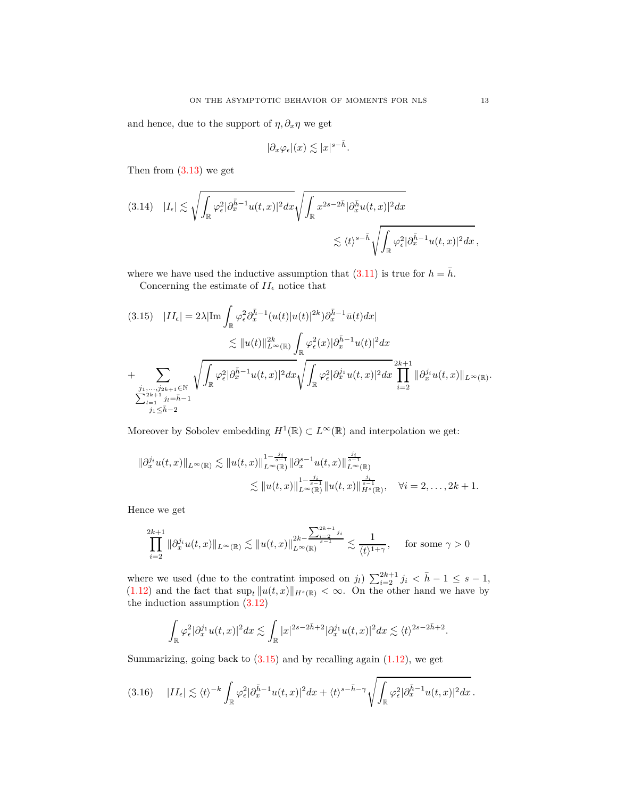and hence, due to the support of  $\eta$ ,  $\partial_x \eta$  we get

$$
|\partial_x \varphi_\epsilon|(x) \lesssim |x|^{s-\bar{h}}.
$$

Then from  $(3.13)$  we get

$$
(3.14) \quad |I_{\epsilon}| \lesssim \sqrt{\int_{\mathbb{R}} \varphi_{\epsilon}^{2} |\partial_{x}^{\bar{h}-1} u(t,x)|^{2} dx} \sqrt{\int_{\mathbb{R}} x^{2s-2\bar{h}} |\partial_{x}^{\bar{h}} u(t,x)|^{2} dx} \lesssim \langle t \rangle^{s-\bar{h}} \sqrt{\int_{\mathbb{R}} \varphi_{\epsilon}^{2} |\partial_{x}^{\bar{h}-1} u(t,x)|^{2} dx},
$$

where we have used the inductive assumption that  $(3.11)$  is true for  $h = \bar{h}$ .

Concerning the estimate of  $II_\epsilon$  notice that

<span id="page-12-0"></span>
$$
(3.15) \quad |II_{\epsilon}| = 2\lambda |\text{Im} \int_{\mathbb{R}} \varphi_{\epsilon}^{2} \partial_{x}^{\bar{h}-1} (u(t)|u(t)|^{2k}) \partial_{x}^{\bar{h}-1} \bar{u}(t) dx|
$$
  

$$
\lesssim ||u(t)||_{L^{\infty}(\mathbb{R})}^{2k} \int_{\mathbb{R}} \varphi_{\epsilon}^{2}(x) |\partial_{x}^{\bar{h}-1} u(t)|^{2} dx
$$
  
+
$$
\sum_{\substack{j_{1},...,j_{2k+1} \in \mathbb{N} \\ \sum_{l=1}^{2k+1} j_{l} = \bar{h}-1}} \sqrt{\int_{\mathbb{R}} \varphi_{\epsilon}^{2} |\partial_{x}^{\bar{h}-1} u(t,x)|^{2} dx} \sqrt{\int_{\mathbb{R}} \varphi_{\epsilon}^{2} |\partial_{x}^{j_{1}} u(t,x)|^{2} dx} \prod_{i=2}^{2k+1} \|\partial_{x}^{j_{i}} u(t,x)\|_{L^{\infty}(\mathbb{R})}.
$$

Moreover by Sobolev embedding  $H^1(\mathbb{R}) \subset L^\infty(\mathbb{R})$  and interpolation we get:

$$
\|\partial_x^{j_i} u(t,x)\|_{L^{\infty}(\mathbb{R})} \lesssim \|u(t,x)\|_{L^{\infty}(\mathbb{R})}^{1-\frac{j_i}{s-1}} \|\partial_x^{s-1} u(t,x)\|_{L^{\infty}(\mathbb{R})}^{\frac{j_i}{s-1}} \lesssim \|u(t,x)\|_{L^{\infty}(\mathbb{R})}^{1-\frac{j_i}{s-1}} \|u(t,x)\|_{H^s(\mathbb{R})}^{\frac{j_i}{s-1}}, \quad \forall i = 2, \ldots, 2k+1.
$$

Hence we get

$$
\prod_{i=2}^{2k+1} \|\partial_x^{j_i} u(t,x)\|_{L^\infty(\mathbb{R})} \lesssim \|u(t,x)\|_{L^\infty(\mathbb{R})}^{2k - \sum_{i=2}^{2k+1} j_i} \lesssim \frac{1}{\langle t \rangle^{1+\gamma}}, \quad \text{ for some } \gamma > 0
$$

where we used (due to the contratint imposed on *j*<sub>*l*</sub>)  $\sum_{i=2}^{2k+1} j_i < \bar{h} - 1 \leq s - 1$ ,  $(1.12)$  and the fact that  $\sup_t \|u(t,x)\|_{H^s(\mathbb{R})} < \infty$ . On the other hand we have by the induction assumption [\(3.12\)](#page-11-0)

$$
\int_{\mathbb{R}} \varphi_{\epsilon}^2 |\partial_x^{j_1} u(t,x)|^2 dx \lesssim \int_{\mathbb{R}} |x|^{2s-2\bar{h}+2} |\partial_x^{j_1} u(t,x)|^2 dx \lesssim \langle t \rangle^{2s-2\bar{h}+2}.
$$

Summarizing, going back to  $(3.15)$  and by recalling again  $(1.12)$ , we get

$$
(3.16)\quad |II_{\epsilon}| \lesssim \langle t \rangle^{-k} \int_{\mathbb{R}} \varphi_{\epsilon}^{2} |\partial_{x}^{\bar{h}-1} u(t,x)|^{2} dx + \langle t \rangle^{s-\bar{h}-\gamma} \sqrt{\int_{\mathbb{R}} \varphi_{\epsilon}^{2} |\partial_{x}^{\bar{h}-1} u(t,x)|^{2} dx}.
$$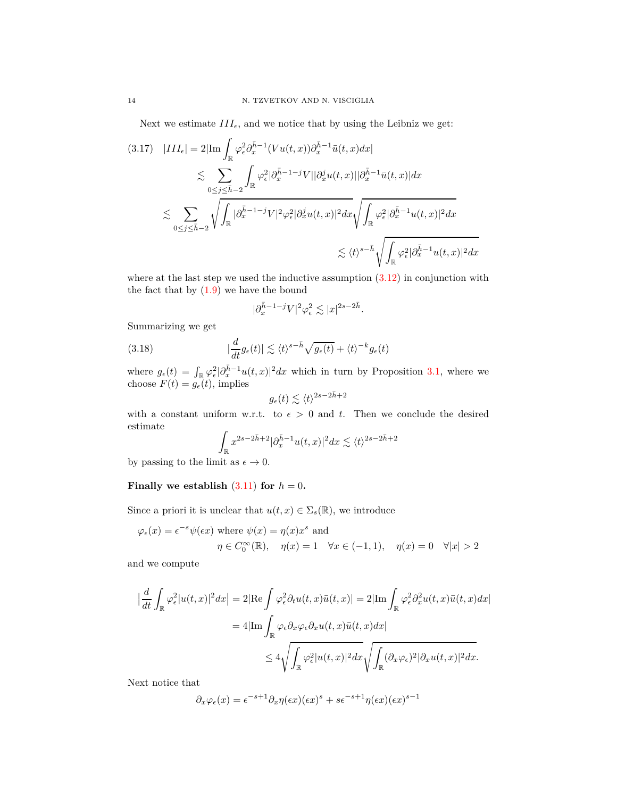Next we estimate  $III_{\epsilon}$ , and we notice that by using the Leibniz we get:

$$
(3.17) \quad |III_{\epsilon}| = 2|\text{Im}\int_{\mathbb{R}}\varphi_{\epsilon}^{2}\partial_{x}^{\bar{h}-1}(Vu(t,x))\partial_{x}^{\bar{h}-1}\bar{u}(t,x)dx|
$$
  

$$
\lesssim \sum_{0\leq j\leq \bar{h}-2}\int_{\mathbb{R}}\varphi_{\epsilon}^{2}|\partial_{x}^{\bar{h}-1-j}V||\partial_{x}^{j}u(t,x)||\partial_{x}^{\bar{h}-1}\bar{u}(t,x)|dx
$$
  

$$
\lesssim \sum_{0\leq j\leq \bar{h}-2}\sqrt{\int_{\mathbb{R}}|\partial_{x}^{\bar{h}-1-j}V|^{2}\varphi_{\epsilon}^{2}|\partial_{x}^{j}u(t,x)|^{2}dx}\sqrt{\int_{\mathbb{R}}\varphi_{\epsilon}^{2}|\partial_{x}^{\bar{h}-1}u(t,x)|^{2}dx}
$$
  

$$
\lesssim \langle t\rangle^{s-\bar{h}}\sqrt{\int_{\mathbb{R}}\varphi_{\epsilon}^{2}|\partial_{x}^{\bar{h}-1}u(t,x)|^{2}dx}
$$

where at the last step we used the inductive assumption  $(3.12)$  in conjunction with the fact that by  $(1.9)$  we have the bound

$$
|\partial_x^{\bar h-1-j}V|^2\varphi^2_\epsilon\lesssim |x|^{2s-2\bar h}.
$$

Summarizing we get

(3.18) 
$$
|\frac{d}{dt}g_{\epsilon}(t)| \lesssim \langle t \rangle^{s-\bar{h}} \sqrt{g_{\epsilon}(t)} + \langle t \rangle^{-k} g_{\epsilon}(t)
$$

where  $g_{\epsilon}(t) = \int_{\mathbb{R}} \varphi_{\epsilon}^{2} |\partial_{x}^{\bar{h}-1} u(t,x)|^{2} dx$  which in turn by Proposition [3.1,](#page-8-4) where we choose  $F(t) = g_{\epsilon}(t)$ , implies

$$
g_{\epsilon}(t) \lesssim \langle t \rangle^{2s - 2\bar{h} + 2}
$$

with a constant uniform w.r.t. to  $\epsilon > 0$  and t. Then we conclude the desired estimate

$$
\int_{\mathbb{R}} x^{2s-2\bar{h}+2} |\partial_x^{\bar{h}-1} u(t,x)|^2 dx \lesssim \langle t \rangle^{2s-2\bar{h}+2}
$$

by passing to the limit as  $\epsilon \to 0$ .

### **Finally we establish**  $(3.11)$  for  $h = 0$ .

Since a priori it is unclear that  $u(t, x) \in \Sigma_s(\mathbb{R})$ , we introduce

$$
\varphi_{\epsilon}(x) = \epsilon^{-s} \psi(\epsilon x) \text{ where } \psi(x) = \eta(x) x^s \text{ and}
$$

$$
\eta \in C_0^{\infty}(\mathbb{R}), \quad \eta(x) = 1 \quad \forall x \in (-1, 1), \quad \eta(x) = 0 \quad \forall |x| > 2
$$

and we compute

$$
\begin{split} \left| \frac{d}{dt} \int_{\mathbb{R}} \varphi_{\epsilon}^{2} |u(t,x)|^{2} dx \right| &= 2|\text{Re} \int \varphi_{\epsilon}^{2} \partial_{t} u(t,x) \bar{u}(t,x) | = 2|\text{Im} \int_{\mathbb{R}} \varphi_{\epsilon}^{2} \partial_{x}^{2} u(t,x) \bar{u}(t,x) dx | \\ &= 4|\text{Im} \int_{\mathbb{R}} \varphi_{\epsilon} \partial_{x} \varphi_{\epsilon} \partial_{x} u(t,x) \bar{u}(t,x) dx | \\ &\leq 4 \sqrt{\int_{\mathbb{R}} \varphi_{\epsilon}^{2} |u(t,x)|^{2} dx} \sqrt{\int_{\mathbb{R}} (\partial_{x} \varphi_{\epsilon})^{2} |\partial_{x} u(t,x)|^{2} dx}. \end{split}
$$

Next notice that

$$
\partial_x \varphi_\epsilon(x) = \epsilon^{-s+1} \partial_x \eta(\epsilon x) (\epsilon x)^s + s \epsilon^{-s+1} \eta(\epsilon x) (\epsilon x)^{s-1}
$$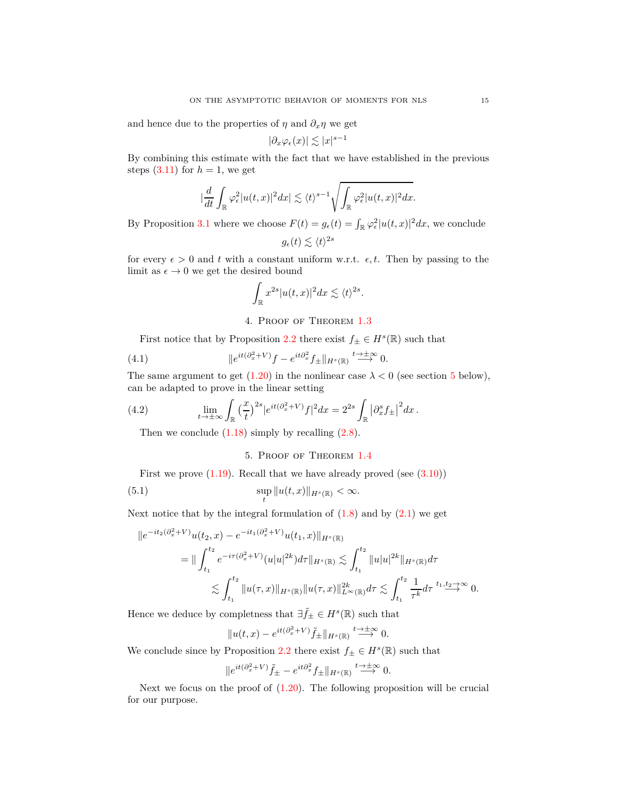and hence due to the properties of  $\eta$  and  $\partial_x \eta$  we get

$$
|\partial_x \varphi_\epsilon(x)| \lesssim |x|^{s-1}
$$

By combining this estimate with the fact that we have established in the previous steps  $(3.11)$  for  $h = 1$ , we get

$$
|\frac{d}{dt}\int_{\mathbb{R}}\varphi_{\epsilon}^{2}|u(t,x)|^{2}dx|\lesssim \langle t\rangle^{s-1}\sqrt{\int_{\mathbb{R}}\varphi_{\epsilon}^{2}|u(t,x)|^{2}dx}.
$$

By Proposition [3.1](#page-8-4) where we choose  $F(t) = g_{\epsilon}(t) = \int_{\mathbb{R}} \varphi_{\epsilon}^2 |u(t,x)|^2 dx$ , we conclude

$$
g_{\epsilon}(t) \lesssim \langle t \rangle^{2s}
$$

for every  $\epsilon > 0$  and *t* with a constant uniform w.r.t.  $\epsilon, t$ . Then by passing to the limit as  $\epsilon \to 0$  we get the desired bound

$$
\int_{\mathbb{R}} x^{2s} |u(t,x)|^2 dx \lesssim \langle t \rangle^{2s}.
$$

4. Proof of Theorem [1.3](#page-3-2)

First notice that by Proposition [2.2](#page-6-1) there exist  $f_{\pm} \in H^s(\mathbb{R})$  such that

(4.1) 
$$
\|e^{it(\partial_x^2 + V)}f - e^{it\partial_x^2} f_{\pm}\|_{H^s(\mathbb{R})} \stackrel{t \to \pm \infty}{\longrightarrow} 0.
$$

The same argument to get  $(1.20)$  in the nonlinear case  $\lambda < 0$  (see section [5](#page-14-0) below), can be adapted to prove in the linear setting

(4.2) 
$$
\lim_{t \to \pm \infty} \int_{\mathbb{R}} \left(\frac{x}{t}\right)^{2s} |e^{it(\partial_x^2 + V)} f|^2 dx = 2^{2s} \int_{\mathbb{R}} \left|\partial_x^s f_{\pm}\right|^2 dx.
$$

<span id="page-14-0"></span>Then we conclude  $(1.18)$  simply by recalling  $(2.8)$ .

## 5. Proof of Theorem [1.4](#page-3-3)

First we prove  $(1.19)$ . Recall that we have already proved (see  $(3.10)$ )

(5.1) 
$$
\sup_{t} \|u(t,x)\|_{H^s(\mathbb{R})} < \infty.
$$

Next notice that by the integral formulation of  $(1.8)$  and by  $(2.1)$  we get

$$
||e^{-it_2(\partial_x^2 + V)}u(t_2, x) - e^{-it_1(\partial_x^2 + V)}u(t_1, x)||_{H^s(\mathbb{R})}
$$
  
\n
$$
= ||\int_{t_1}^{t_2} e^{-i\tau(\partial_x^2 + V)}(u|u|^{2k})d\tau||_{H^s(\mathbb{R})} \lesssim \int_{t_1}^{t_2} ||u|u|^{2k}||_{H^s(\mathbb{R})}d\tau
$$
  
\n
$$
\lesssim \int_{t_1}^{t_2} ||u(\tau, x)||_{H^s(\mathbb{R})} ||u(\tau, x)||_{L^\infty(\mathbb{R})}^{2k}d\tau \lesssim \int_{t_1}^{t_2} \frac{1}{\tau^k}d\tau \stackrel{t_1, t_2 \to \infty}{\longrightarrow} 0.
$$

Hence we deduce by completness that  $\exists \tilde{f}_{\pm} \in H^s(\mathbb{R})$  such that

$$
||u(t,x) - e^{it(\partial_x^2 + V)} \tilde{f}_{\pm}||_{H^s(\mathbb{R})} \stackrel{t \to \pm \infty}{\longrightarrow} 0.
$$

We conclude since by Proposition [2.2](#page-6-1) there exist  $f_{\pm} \in H^s(\mathbb{R})$  such that

$$
\|e^{it(\partial_x^2 + V)}\tilde{f}_{\pm} - e^{it\partial_x^2} f_{\pm}\|_{H^s(\mathbb{R})} \stackrel{t \to \pm \infty}{\longrightarrow} 0.
$$

Next we focus on the proof of  $(1.20)$ . The following proposition will be crucial for our purpose.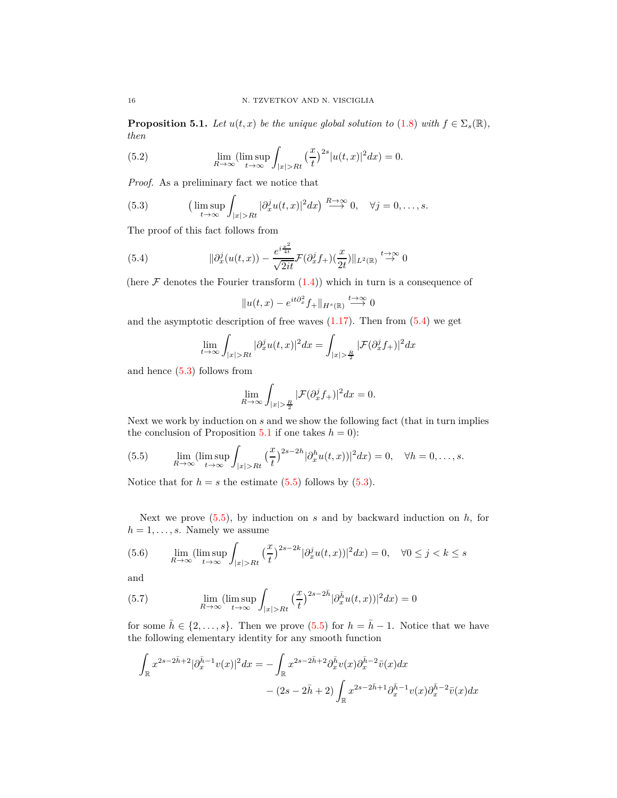<span id="page-15-5"></span><span id="page-15-2"></span>**Proposition 5.1.** *Let*  $u(t, x)$  *be the unique global solution to* [\(1.8\)](#page-1-0) *with*  $f \in \Sigma_s(\mathbb{R})$ *, then*

(5.2) 
$$
\lim_{R \to \infty} (\limsup_{t \to \infty} \int_{|x| > Rt} (\frac{x}{t})^{2s} |u(t,x)|^2 dx) = 0.
$$

*Proof.* As a preliminary fact we notice that

(5.3) 
$$
\left(\limsup_{t\to\infty}\int_{|x|>Rt}|\partial_x^j u(t,x)|^2dx\right)\overset{R\to\infty}{\longrightarrow}0,\quad\forall j=0,\ldots,s.
$$

The proof of this fact follows from

(5.4) 
$$
\|\partial_x^j(u(t,x)) - \frac{e^{i\frac{x^2}{4t}}}{\sqrt{2it}}\mathcal{F}(\partial_x^j f_+)(\frac{x}{2t})\|_{L^2(\mathbb{R})} \stackrel{t \to \infty}{\to} 0
$$

(here  $\mathcal F$  denotes the Fourier transform  $(1.4)$ ) which in turn is a consequence of

<span id="page-15-1"></span><span id="page-15-0"></span>
$$
||u(t,x) - e^{it\partial_x^2} f_+||_{H^s(\mathbb{R})} \stackrel{t \to \infty}{\longrightarrow} 0
$$

and the asymptotic description of free waves  $(1.17)$ . Then from  $(5.4)$  we get

$$
\lim_{t \to \infty} \int_{|x| > Rt} |\partial_x^j u(t, x)|^2 dx = \int_{|x| > \frac{R}{2}} |\mathcal{F}(\partial_x^j f_+)|^2 dx
$$

and hence [\(5.3\)](#page-15-1) follows from

<span id="page-15-3"></span>
$$
\lim_{R \to \infty} \int_{|x| > \frac{R}{2}} |\mathcal{F}(\partial_x^j f_+)|^2 dx = 0.
$$

Next we work by induction on *s* and we show the following fact (that in turn implies the conclusion of Proposition [5.1](#page-15-2) if one takes  $h = 0$ :

(5.5) 
$$
\lim_{R \to \infty} (\limsup_{t \to \infty} \int_{|x| > Rt} \left(\frac{x}{t}\right)^{2s-2h} |\partial_x^h u(t,x)|^2 dx) = 0, \quad \forall h = 0, \dots, s.
$$

Notice that for  $h = s$  the estimate [\(5.5\)](#page-15-3) follows by [\(5.3\)](#page-15-1).

Next we prove [\(5.5\)](#page-15-3), by induction on *s* and by backward induction on *h*, for  $h = 1, \ldots, s$ . Namely we assume

(5.6) 
$$
\lim_{R \to \infty} (\limsup_{t \to \infty} \int_{|x| > Rt} (\frac{x}{t})^{2s-2k} |\partial_x^j u(t, x)|^2 dx) = 0, \quad \forall 0 \le j < k \le s
$$

<span id="page-15-4"></span>and

(5.7) 
$$
\lim_{R \to \infty} (\limsup_{t \to \infty} \int_{|x| > Rt} \left(\frac{x}{t}\right)^{2s - 2\bar{h}} |\partial_x^{\bar{h}} u(t, x)|^2 dx) = 0
$$

for some  $\bar{h} \in \{2, \ldots, s\}$ . Then we prove [\(5.5\)](#page-15-3) for  $h = \bar{h} - 1$ . Notice that we have the following elementary identity for any smooth function

$$
\int_{\mathbb{R}} x^{2s-2\bar{h}+2} |\partial_x^{\bar{h}-1} v(x)|^2 dx = -\int_{\mathbb{R}} x^{2s-2\bar{h}+2} \partial_x^{\bar{h}} v(x) \partial_x^{\bar{h}-2} \bar{v}(x) dx \n- (2s-2\bar{h}+2) \int_{\mathbb{R}} x^{2s-2\bar{h}+1} \partial_x^{\bar{h}-1} v(x) \partial_x^{\bar{h}-2} \bar{v}(x) dx
$$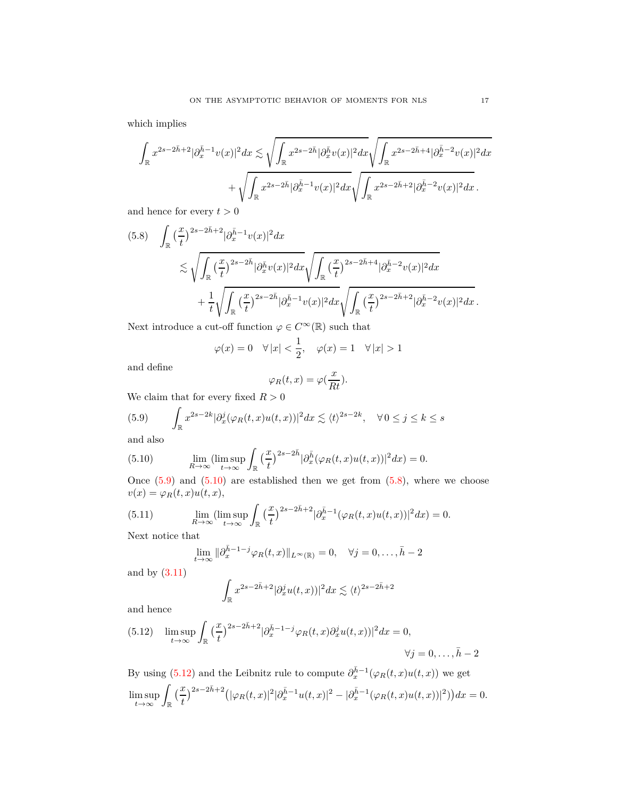which implies

$$
\int_{\mathbb{R}} x^{2s-2\bar{h}+2} |\partial_x^{\bar{h}-1} v(x)|^2 dx \lesssim \sqrt{\int_{\mathbb{R}} x^{2s-2\bar{h}} |\partial_x^{\bar{h}} v(x)|^2 dx} \sqrt{\int_{\mathbb{R}} x^{2s-2\bar{h}+4} |\partial_x^{\bar{h}-2} v(x)|^2 dx} \n+ \sqrt{\int_{\mathbb{R}} x^{2s-2\bar{h}} |\partial_x^{\bar{h}-1} v(x)|^2 dx} \sqrt{\int_{\mathbb{R}} x^{2s-2\bar{h}+2} |\partial_x^{\bar{h}-2} v(x)|^2 dx}.
$$

and hence for every  $t > 0$ 

<span id="page-16-2"></span>
$$
(5.8) \quad \int_{\mathbb{R}} \left(\frac{x}{t}\right)^{2s-2\bar{h}+2} |\partial_x^{\bar{h}-1}v(x)|^2 dx
$$
  

$$
\lesssim \sqrt{\int_{\mathbb{R}} \left(\frac{x}{t}\right)^{2s-2\bar{h}} |\partial_x^{\bar{h}}v(x)|^2 dx} \sqrt{\int_{\mathbb{R}} \left(\frac{x}{t}\right)^{2s-2\bar{h}+4} |\partial_x^{\bar{h}-2}v(x)|^2 dx}
$$
  

$$
+ \frac{1}{t} \sqrt{\int_{\mathbb{R}} \left(\frac{x}{t}\right)^{2s-2\bar{h}} |\partial_x^{\bar{h}-1}v(x)|^2 dx} \sqrt{\int_{\mathbb{R}} \left(\frac{x}{t}\right)^{2s-2\bar{h}+2} |\partial_x^{\bar{h}-2}v(x)|^2 dx}.
$$

Next introduce a cut-off function  $\varphi \in C^{\infty}(\mathbb{R})$  such that

$$
\varphi(x) = 0 \quad \forall |x| < \frac{1}{2}, \quad \varphi(x) = 1 \quad \forall |x| > 1
$$

and define

<span id="page-16-0"></span>
$$
\varphi_R(t,x) = \varphi(\frac{x}{Rt}).
$$

We claim that for every fixed  $R > 0$ 

(5.9) 
$$
\int_{\mathbb{R}} x^{2s-2k} |\partial_x^j(\varphi_R(t,x)u(t,x))|^2 dx \lesssim \langle t \rangle^{2s-2k}, \quad \forall 0 \le j \le k \le s
$$

<span id="page-16-1"></span>and also

(5.10) 
$$
\lim_{R \to \infty} (\limsup_{t \to \infty} \int_{\mathbb{R}} \left(\frac{x}{t}\right)^{2s-2\bar{h}} |\partial_x^{\bar{h}}(\varphi_R(t,x)u(t,x))|^2 dx) = 0.
$$

Once  $(5.9)$  and  $(5.10)$  are established then we get from  $(5.8)$ , where we choose  $v(x) = \varphi_R(t, x)u(t, x),$ 

(5.11) 
$$
\lim_{R \to \infty} (\limsup_{t \to \infty} \int_{\mathbb{R}} \left(\frac{x}{t}\right)^{2s-2\bar{h}+2} |\partial_x^{\bar{h}-1}(\varphi_R(t,x)u(t,x))|^2 dx) = 0.
$$

Next notice that

<span id="page-16-4"></span>
$$
\lim_{t \to \infty} \|\partial_x^{\bar{h}-1-j} \varphi_R(t,x)\|_{L^\infty(\mathbb{R})} = 0, \quad \forall j = 0, \dots, \bar{h}-2
$$

and by [\(3.11\)](#page-10-2)

$$
\int_{\mathbb{R}} x^{2s-2\bar{h}+2} |\partial_x^j u(t,x))|^2 dx \lesssim \langle t \rangle^{2s-2\bar{h}+2}
$$

and hence

<span id="page-16-3"></span>(5.12) 
$$
\limsup_{t \to \infty} \int_{\mathbb{R}} \left(\frac{x}{t}\right)^{2s-2\bar{h}+2} |\partial_x^{\bar{h}-1-j} \varphi_R(t,x) \partial_x^j u(t,x)|^2 dx = 0,
$$
  

$$
\forall j = 0, \dots, \bar{h} - 2
$$

By using [\(5.12\)](#page-16-3) and the Leibnitz rule to compute  $\partial_x^{\bar{h}-1}(\varphi_R(t,x)u(t,x))$  we get  $\limsup_{t\to\infty}\int_{\mathbb{R}}\big(\frac{x}{t}\big)^{2s-2\bar{h}+2}\big(|\varphi_R(t,x)|^2|\partial_x^{\bar{h}-1}u(t,x)|^2-|\partial_x^{\bar{h}-1}(\varphi_R(t,x)u(t,x))|^2)\big)dx=0.$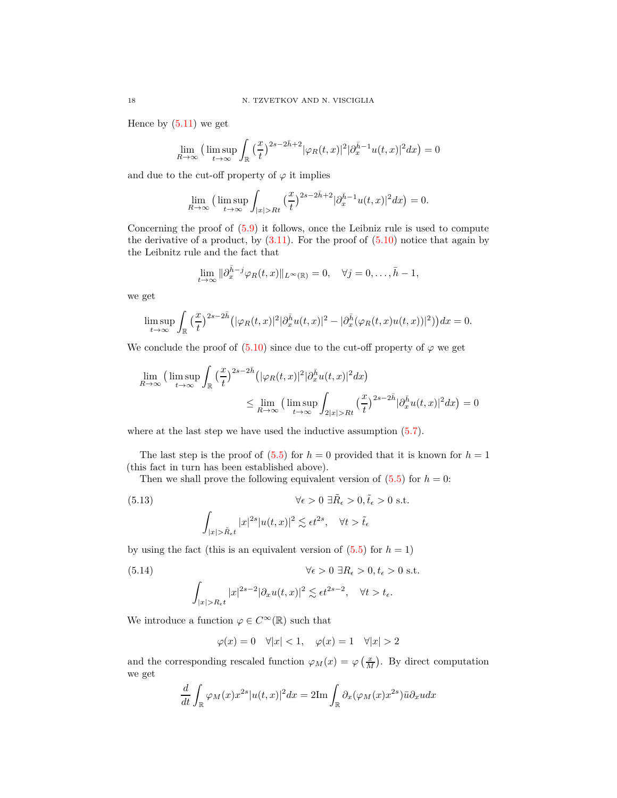Hence by  $(5.11)$  we get

$$
\lim_{R \to \infty} \left( \limsup_{t \to \infty} \int_{\mathbb{R}} \left( \frac{x}{t} \right)^{2s - 2\bar{h} + 2} |\varphi_R(t, x)|^2 |\partial_x^{\bar{h} - 1} u(t, x)|^2 dx \right) = 0
$$

and due to the cut-off property of  $\varphi$  it implies

$$
\lim_{R \to \infty} \left( \limsup_{t \to \infty} \int_{|x| > Rt} \left(\frac{x}{t}\right)^{2s - 2\bar{h} + 2} |\partial_x^{\bar{h} - 1} u(t, x)|^2 dx \right) = 0.
$$

Concerning the proof of [\(5.9\)](#page-16-0) it follows, once the Leibniz rule is used to compute the derivative of a product, by  $(3.11)$ . For the proof of  $(5.10)$  notice that again by the Leibnitz rule and the fact that

$$
\lim_{t \to \infty} \|\partial_x^{\bar{h}-j} \varphi_R(t,x)\|_{L^\infty(\mathbb{R})} = 0, \quad \forall j = 0, \dots, \bar{h} - 1,
$$

we get

$$
\limsup_{t \to \infty} \int_{\mathbb{R}} \left(\frac{x}{t}\right)^{2s-2\bar{h}} \left( |\varphi_R(t,x)|^2 |\partial_x^{\bar{h}} u(t,x)|^2 - |\partial_x^{\bar{h}} (\varphi_R(t,x)u(t,x))|^2 \right) \right) dx = 0.
$$

We conclude the proof of  $(5.10)$  since due to the cut-off property of  $\varphi$  we get

$$
\lim_{R \to \infty} \left( \limsup_{t \to \infty} \int_{\mathbb{R}} \left( \frac{x}{t} \right)^{2s - 2\bar{h}} \left( |\varphi_R(t, x)|^2 |\partial_x^{\bar{h}} u(t, x)|^2 dx \right) \right)
$$
\n
$$
\leq \lim_{R \to \infty} \left( \limsup_{t \to \infty} \int_{2|x| > Rt} \left( \frac{x}{t} \right)^{2s - 2\bar{h}} |\partial_x^{\bar{h}} u(t, x)|^2 dx \right) = 0
$$

where at the last step we have used the inductive assumption  $(5.7)$ .

The last step is the proof of  $(5.5)$  for  $h = 0$  provided that it is known for  $h = 1$ (this fact in turn has been established above).

Then we shall prove the following equivalent version of  $(5.5)$  for  $h = 0$ :

(5.13) 
$$
\forall \epsilon > 0 \ \exists \tilde{R}_{\epsilon} > 0, \tilde{t}_{\epsilon} > 0 \ \text{s.t.}
$$

$$
\int_{|x| > \tilde{R}_{\epsilon}t} |x|^{2s} |u(t, x)|^{2} \lesssim \epsilon t^{2s}, \quad \forall t > \tilde{t}_{\epsilon}
$$

by using the fact (this is an equivalent version of  $(5.5)$  for  $h = 1$ )

<span id="page-17-0"></span>(5.14) 
$$
\forall \epsilon > 0 \ \exists R_{\epsilon} > 0, t_{\epsilon} > 0 \ \text{s.t.}
$$

$$
\int_{|x| > R_{\epsilon}t} |x|^{2s-2} |\partial_x u(t, x)|^2 \lesssim \epsilon t^{2s-2}, \quad \forall t > t_{\epsilon}.
$$

We introduce a function  $\varphi \in C^{\infty}(\mathbb{R})$  such that

$$
\varphi(x) = 0 \quad \forall |x| < 1, \quad \varphi(x) = 1 \quad \forall |x| > 2
$$

and the corresponding rescaled function  $\varphi_M(x) = \varphi\left(\frac{x}{M}\right)$ . By direct computation we get

$$
\frac{d}{dt} \int_{\mathbb{R}} \varphi_M(x) x^{2s} |u(t,x)|^2 dx = 2\text{Im} \int_{\mathbb{R}} \partial_x(\varphi_M(x) x^{2s}) \bar{u} \partial_x u dx
$$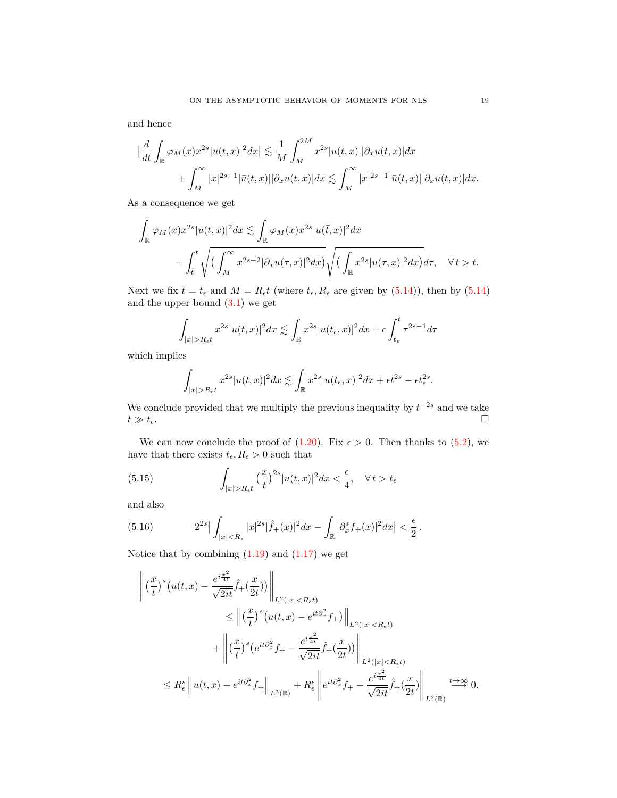and hence

$$
\left|\frac{d}{dt}\int_{\mathbb{R}}\varphi_M(x)x^{2s}|u(t,x)|^2dx\right|\lesssim \frac{1}{M}\int_M^{2M}x^{2s}|\bar{u}(t,x)||\partial_xu(t,x)|dx
$$
  
+
$$
\int_M^{\infty}|x|^{2s-1}|\bar{u}(t,x)||\partial_xu(t,x)|dx\lesssim \int_M^{\infty}|x|^{2s-1}|\bar{u}(t,x)||\partial_xu(t,x)|dx.
$$

As a consequence we get

$$
\int_{\mathbb{R}} \varphi_M(x) x^{2s} |u(t,x)|^2 dx \lesssim \int_{\mathbb{R}} \varphi_M(x) x^{2s} |u(\bar{t},x)|^2 dx \n+ \int_{\bar{t}}^t \sqrt{\left(\int_M^\infty x^{2s-2} |\partial_x u(\tau,x)|^2 dx\right)} \sqrt{\left(\int_{\mathbb{R}} x^{2s} |u(\tau,x)|^2 dx\right)} d\tau, \quad \forall t > \bar{t}.
$$

Next we fix  $\bar{t} = t_{\epsilon}$  and  $M = R_{\epsilon}t$  (where  $t_{\epsilon}, R_{\epsilon}$  are given by [\(5.14\)](#page-17-0)), then by [\(5.14\)](#page-17-0) and the upper bound  $(3.1)$  we get

$$
\int_{|x|>R_{\epsilon}t} x^{2s} |u(t,x)|^2 dx \lesssim \int_{\mathbb{R}} x^{2s} |u(t_{\epsilon},x)|^2 dx + \epsilon \int_{t_{\epsilon}}^t \tau^{2s-1} d\tau
$$

which implies

<span id="page-18-0"></span>
$$
\int_{|x|>R_{\epsilon}t}x^{2s}|u(t,x)|^2dx\lesssim \int_{\mathbb{R}}x^{2s}|u(t_{\epsilon},x)|^2dx+\epsilon t^{2s}-\epsilon t_{\epsilon}^{2s}.
$$

We conclude provided that we multiply the previous inequality by  $t^{-2s}$  and we take  $t \gg t_{\epsilon}$ .

We can now conclude the proof of  $(1.20)$ . Fix  $\epsilon > 0$ . Then thanks to  $(5.2)$ , we have that there exists  $t_{\epsilon}, R_{\epsilon} > 0$  such that

(5.15) 
$$
\int_{|x|>R_{\epsilon t}} \left(\frac{x}{t}\right)^{2s} |u(t,x)|^2 dx < \frac{\epsilon}{4}, \quad \forall t > t_{\epsilon}
$$

<span id="page-18-1"></span>and also

(5.16) 
$$
2^{2s} \left| \int_{|x| < R_{\epsilon}} |x|^{2s} |\hat{f}_+(x)|^2 dx - \int_{\mathbb{R}} |\partial_x^s f_+(x)|^2 dx \right| < \frac{\epsilon}{2}.
$$

Notice that by combining  $(1.19)$  and  $(1.17)$  we get

$$
\begin{split}\n\left\| \left( \frac{x}{t} \right)^s \left( u(t, x) - \frac{e^{i\frac{x^2}{4t}}}{\sqrt{2it}} \hat{f}_+(\frac{x}{2t}) \right) \right\|_{L^2(|x| < R_\epsilon t)} \\
&\leq \left\| \left( \frac{x}{t} \right)^s \left( u(t, x) - e^{it\partial_x^2} f_+ \right) \right\|_{L^2(|x| < R_\epsilon t)} \\
&\quad + \left\| \left( \frac{x}{t} \right)^s \left( e^{it\partial_x^2} f_+ - \frac{e^{i\frac{x^2}{4t}}}{\sqrt{2it}} \hat{f}_+(\frac{x}{2t}) \right) \right\|_{L^2(|x| < R_\epsilon t)} \\
&\leq R_\epsilon^s \left\| u(t, x) - e^{it\partial_x^2} f_+ \right\|_{L^2(\mathbb{R})} + R_\epsilon^s \left\| e^{it\partial_x^2} f_+ - \frac{e^{i\frac{x^2}{4t}}}{\sqrt{2it}} \hat{f}_+(\frac{x}{2t}) \right\|_{L^2(\mathbb{R})} \xrightarrow{t \to \infty} 0.\n\end{split}
$$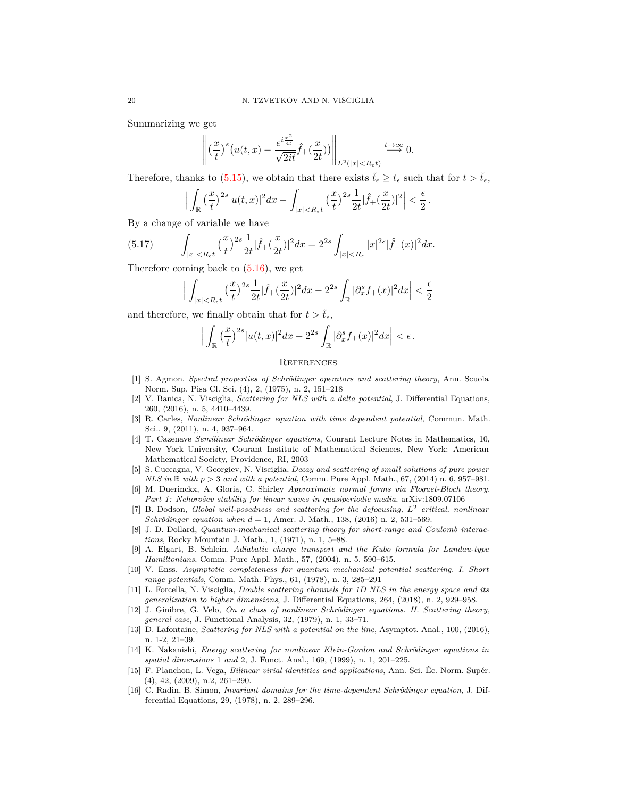Summarizing we get

$$
\left\| \left(\frac{x}{t}\right)^s \left(u(t,x) - \frac{e^{i\frac{x^2}{4t}}}{\sqrt{2it}}\hat{f}_+(\frac{x}{2t})\right) \right\|_{L^2(|x| < R_\epsilon t)} \xrightarrow{t \to \infty} 0.
$$

Therefore, thanks to [\(5.15\)](#page-18-0), we obtain that there exists  $\tilde{t}_{\epsilon} \geq t_{\epsilon}$  such that for  $t > \tilde{t}_{\epsilon}$ ,

$$
\Big|\int_{\mathbb{R}}\big(\frac{x}{t}\big)^{2s}|u(t,x)|^2dx-\int_{|x|
$$

By a change of variable we have

(5.17) 
$$
\int_{|x|
$$

Therefore coming back to  $(5.16)$ , we get

$$
\Big|\int_{|x|
$$

and therefore, we finally obtain that for  $t > \tilde{t}_\epsilon$ ,

$$
\Big|\int_{\mathbb{R}}\left(\frac{x}{t}\right)^{2s}|u(t,x)|^2dx-2^{2s}\int_{\mathbb{R}}|\partial_x^sf_+(x)|^2dx\Big|<\epsilon.
$$

#### **REFERENCES**

- <span id="page-19-7"></span>[1] S. Agmon, *Spectral properties of Schrödinger operators and scattering theory*, Ann. Scuola Norm. Sup. Pisa Cl. Sci. (4), 2, (1975), n. 2, 151–218
- <span id="page-19-12"></span>[2] V. Banica, N. Visciglia, *Scattering for NLS with a delta potential*, J. Differential Equations, 260, (2016), n. 5, 4410–4439.
- <span id="page-19-3"></span>[3] R. Carles, *Nonlinear Schrödinger equation with time dependent potential*, Commun. Math. Sci., 9, (2011), n. 4, 937–964.
- <span id="page-19-6"></span>[4] T. Cazenave *Semilinear Schrödinger equations*, Courant Lecture Notes in Mathematics, 10, New York University, Courant Institute of Mathematical Sciences, New York; American Mathematical Society, Providence, RI, 2003
- <span id="page-19-4"></span>[5] S. Cuccagna, V. Georgiev, N. Visciglia, *Decay and scattering of small solutions of pure power NLS in* R *with p >* 3 *and with a potential*, Comm. Pure Appl. Math., 67, (2014) n. 6, 957–981.
- <span id="page-19-0"></span>[6] M. Duerinckx, A. Gloria, C. Shirley *Approximate normal forms via Floquet-Bloch theory. Part 1: Nehorošev stability for linear waves in quasiperiodic media*, arXiv:1809.07106
- [7] B. Dodson, *Global well-posedness and scattering for the defocusing, L*<sup>2</sup> *critical, nonlinear Schrödinger equation when d* = 1, Amer. J. Math., 138, (2016) n. 2, 531–569.
- <span id="page-19-9"></span>[8] J. D. Dollard, *Quantum-mechanical scattering theory for short-range and Coulomb interactions*, Rocky Mountain J. Math., 1, (1971), n. 1, 5–88.
- <span id="page-19-1"></span>[9] A. Elgart, B. Schlein, *Adiabatic charge transport and the Kubo formula for Landau-type Hamiltonians*, Comm. Pure Appl. Math., 57, (2004), n. 5, 590–615.
- <span id="page-19-8"></span>[10] V. Enss, *Asymptotic completeness for quantum mechanical potential scattering. I. Short range potentials*, Comm. Math. Phys., 61, (1978), n. 3, 285–291
- <span id="page-19-13"></span>[11] L. Forcella, N. Visciglia, *Double scattering channels for 1D NLS in the energy space and its generalization to higher dimensions*, J. Differential Equations, 264, (2018), n. 2, 929–958.
- <span id="page-19-5"></span>[12] J. Ginibre, G. Velo, *On a class of nonlinear Schrödinger equations. II. Scattering theory, general case*, J. Functional Analysis, 32, (1979), n. 1, 33–71.
- <span id="page-19-14"></span>[13] D. Lafontaine, *Scattering for NLS with a potential on the line*, Asymptot. Anal., 100, (2016), n. 1-2, 21–39.
- <span id="page-19-10"></span>[14] K. Nakanishi, *Energy scattering for nonlinear Klein-Gordon and Schrödinger equations in spatial dimensions* 1 *and* 2, J. Funct. Anal., 169, (1999), n. 1, 201–225.
- <span id="page-19-11"></span>[15] F. Planchon, L. Vega, *Bilinear virial identities and applications*, Ann. Sci. Éc. Norm. Supér. (4), 42, (2009), n.2, 261–290.
- <span id="page-19-2"></span>[16] C. Radin, B. Simon, *Invariant domains for the time-dependent Schrödinger equation*, J. Differential Equations, 29, (1978), n. 2, 289–296.